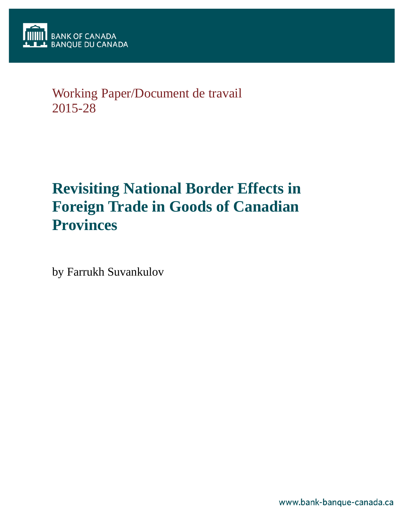

# Working Paper/Document de travail 2015-28

# **Revisiting National Border Effects in Foreign Trade in Goods of Canadian Provinces**

by Farrukh Suvankulov

www.bank-banque-canada.ca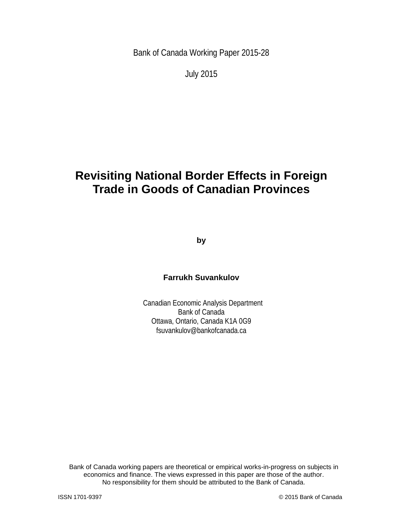Bank of Canada Working Paper 2015-28

July 2015

# **Revisiting National Border Effects in Foreign Trade in Goods of Canadian Provinces**

**by**

#### **Farrukh Suvankulov**

Canadian Economic Analysis Department Bank of Canada Ottawa, Ontario, Canada K1A 0G9 fsuvankulov@bankofcanada.ca

Bank of Canada working papers are theoretical or empirical works-in-progress on subjects in economics and finance. The views expressed in this paper are those of the author. No responsibility for them should be attributed to the Bank of Canada.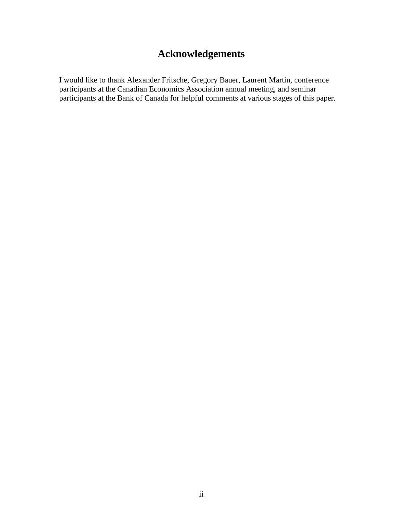# **Acknowledgements**

I would like to thank Alexander Fritsche, Gregory Bauer, Laurent Martin, conference participants at the Canadian Economics Association annual meeting, and seminar participants at the Bank of Canada for helpful comments at various stages of this paper.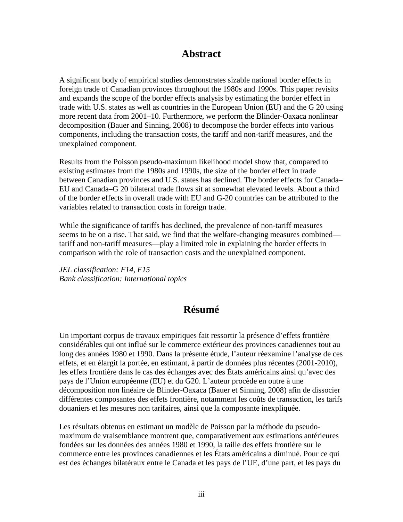### **Abstract**

A significant body of empirical studies demonstrates sizable national border effects in foreign trade of Canadian provinces throughout the 1980s and 1990s. This paper revisits and expands the scope of the border effects analysis by estimating the border effect in trade with U.S. states as well as countries in the European Union (EU) and the G 20 using more recent data from 2001–10. Furthermore, we perform the Blinder-Oaxaca nonlinear decomposition (Bauer and Sinning, 2008) to decompose the border effects into various components, including the transaction costs, the tariff and non-tariff measures, and the unexplained component.

Results from the Poisson pseudo-maximum likelihood model show that, compared to existing estimates from the 1980s and 1990s, the size of the border effect in trade between Canadian provinces and U.S. states has declined. The border effects for Canada– EU and Canada–G 20 bilateral trade flows sit at somewhat elevated levels. About a third of the border effects in overall trade with EU and G-20 countries can be attributed to the variables related to transaction costs in foreign trade.

While the significance of tariffs has declined, the prevalence of non-tariff measures seems to be on a rise. That said, we find that the welfare-changing measures combined tariff and non-tariff measures—play a limited role in explaining the border effects in comparison with the role of transaction costs and the unexplained component.

*JEL classification: F14, F15 Bank classification: International topics* 

# **Résumé**

Un important corpus de travaux empiriques fait ressortir la présence d'effets frontière considérables qui ont influé sur le commerce extérieur des provinces canadiennes tout au long des années 1980 et 1990. Dans la présente étude, l'auteur réexamine l'analyse de ces effets, et en élargit la portée, en estimant, à partir de données plus récentes (2001-2010), les effets frontière dans le cas des échanges avec des États américains ainsi qu'avec des pays de l'Union européenne (EU) et du G20. L'auteur procède en outre à une décomposition non linéaire de Blinder-Oaxaca (Bauer et Sinning, 2008) afin de dissocier différentes composantes des effets frontière, notamment les coûts de transaction, les tarifs douaniers et les mesures non tarifaires, ainsi que la composante inexpliquée.

Les résultats obtenus en estimant un modèle de Poisson par la méthode du pseudomaximum de vraisemblance montrent que, comparativement aux estimations antérieures fondées sur les données des années 1980 et 1990, la taille des effets frontière sur le commerce entre les provinces canadiennes et les États américains a diminué. Pour ce qui est des échanges bilatéraux entre le Canada et les pays de l'UE, d'une part, et les pays du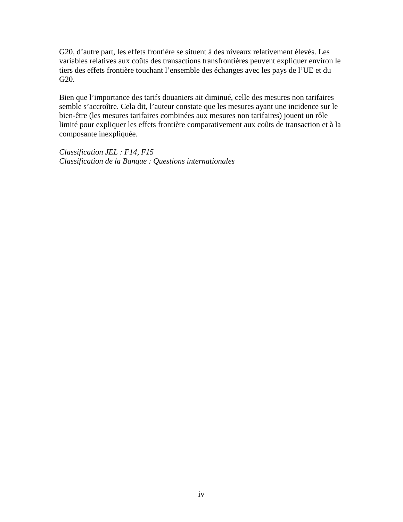G20, d'autre part, les effets frontière se situent à des niveaux relativement élevés. Les variables relatives aux coûts des transactions transfrontières peuvent expliquer environ le tiers des effets frontière touchant l'ensemble des échanges avec les pays de l'UE et du G20.

Bien que l'importance des tarifs douaniers ait diminué, celle des mesures non tarifaires semble s'accroître. Cela dit, l'auteur constate que les mesures ayant une incidence sur le bien-être (les mesures tarifaires combinées aux mesures non tarifaires) jouent un rôle limité pour expliquer les effets frontière comparativement aux coûts de transaction et à la composante inexpliquée.

*Classification JEL : F14, F15 Classification de la Banque : Questions internationales*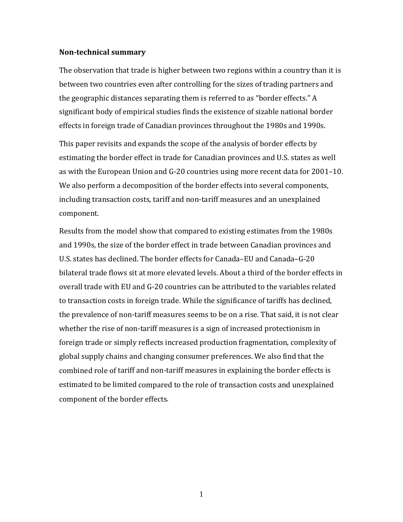#### **Non-technical summary**

The observation that trade is higher between two regions within a country than it is between two countries even after controlling for the sizes of trading partners and the geographic distances separating them is referred to as "border effects." A significant body of empirical studies finds the existence of sizable national border effects in foreign trade of Canadian provinces throughout the 1980s and 1990s.

This paper revisits and expands the scope of the analysis of border effects by estimating the border effect in trade for Canadian provinces and U.S. states as well as with the European Union and G-20 countries using more recent data for 2001–10. We also perform a decomposition of the border effects into several components, including transaction costs, tariff and non-tariff measures and an unexplained component.

Results from the model show that compared to existing estimates from the 1980s and 1990s, the size of the border effect in trade between Canadian provinces and U.S. states has declined. The border effects for Canada–EU and Canada–G-20 bilateral trade flows sit at more elevated levels. About a third of the border effects in overall trade with EU and G-20 countries can be attributed to the variables related to transaction costs in foreign trade. While the significance of tariffs has declined, the prevalence of non-tariff measures seems to be on a rise. That said, it is not clear whether the rise of non-tariff measures is a sign of increased protectionism in foreign trade or simply reflects increased production fragmentation, complexity of global supply chains and changing consumer preferences. We also find that the combined role of tariff and non-tariff measures in explaining the border effects is estimated to be limited compared to the role of transaction costs and unexplained component of the border effects.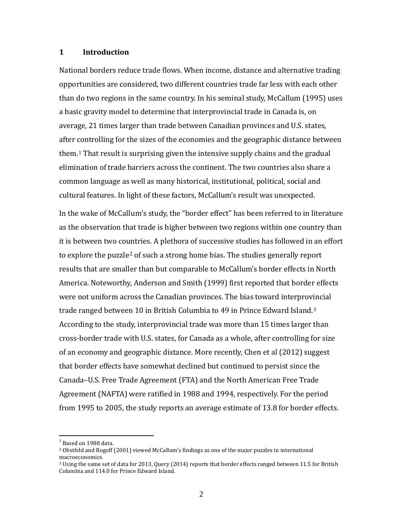#### **1 Introduction**

National borders reduce trade flows. When income, distance and alternative trading opportunities are considered, two different countries trade far less with each other than do two regions in the same country. In his seminal study, McCallum (1995) uses a basic gravity model to determine that interprovincial trade in Canada is, on average, 21 times larger than trade between Canadian provinces and U.S. states, after controlling for the sizes of the economies and the geographic distance between them.[1](#page-6-0) That result is surprising given the intensive supply chains and the gradual elimination of trade barriers across the continent. The two countries also share a common language as well as many historical, institutional, political, social and cultural features. In light of these factors, McCallum's result was unexpected.

In the wake of McCallum's study, the "border effect" has been referred to in literature as the observation that trade is higher between two regions within one country than it is between two countries. A plethora of successive studies has followed in an effort to explore the puzzle<sup>[2](#page-6-1)</sup> of such a strong home bias. The studies generally report results that are smaller than but comparable to McCallum's border effects in North America. Noteworthy, Anderson and Smith (1999) first reported that border effects were not uniform across the Canadian provinces. The bias toward interprov[in](#page-6-2)cial trade ranged between 10 in British Columbia to 49 in Prince Edward Island. 3 According to the study, interprovincial trade was more than 15 times larger than cross-border trade with U.S. states, for Canada as a whole, after controlling for size of an economy and geographic distance. More recently, Chen et al (2012) suggest that border effects have somewhat declined but continued to persist since the Canada–U.S. Free Trade Agreement (FTA) and the North American Free Trade Agreement (NAFTA) were ratified in 1988 and 1994, respectively. For the period from 1995 to 2005, the study reports an average estimate of 13.8 for border effects.

<span id="page-6-0"></span> $1$  Based on 1988 data.

<span id="page-6-1"></span><sup>2</sup> Obstfeld and Rogoff (2001) viewed McCallum's findings as one of the major puzzles in international macroeconomics.

<span id="page-6-2"></span><sup>3</sup> Using the same set of data for 2013, Query (2014) reports that border effects ranged between 11.5 for British Columbia and 114.0 for Prince Edward Island.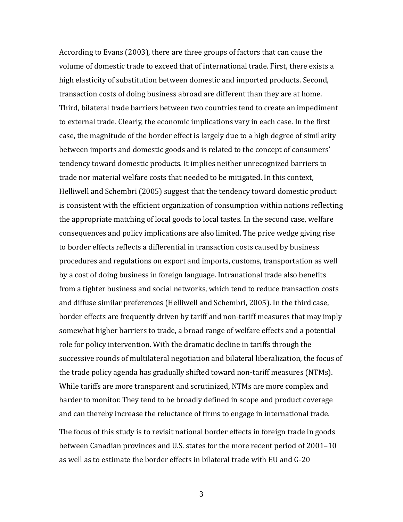According to Evans (2003), there are three groups of factors that can cause the volume of domestic trade to exceed that of international trade. First, there exists a high elasticity of substitution between domestic and imported products. Second, transaction costs of doing business abroad are different than they are at home. Third, bilateral trade barriers between two countries tend to create an impediment to external trade. Clearly, the economic implications vary in each case. In the first case, the magnitude of the border effect is largely due to a high degree of similarity between imports and domestic goods and is related to the concept of consumers' tendency toward domestic products. It implies neither unrecognized barriers to trade nor material welfare costs that needed to be mitigated. In this context, Helliwell and Schembri (2005) suggest that the tendency toward domestic product is consistent with the efficient organization of consumption within nations reflecting the appropriate matching of local goods to local tastes. In the second case, welfare consequences and policy implications are also limited. The price wedge giving rise to border effects reflects a differential in transaction costs caused by business procedures and regulations on export and imports, customs, transportation as well by a cost of doing business in foreign language. Intranational trade also benefits from a tighter business and social networks, which tend to reduce transaction costs and diffuse similar preferences (Helliwell and Schembri, 2005). In the third case, border effects are frequently driven by tariff and non-tariff measures that may imply somewhat higher barriers to trade, a broad range of welfare effects and a potential role for policy intervention. With the dramatic decline in tariffs through the successive rounds of multilateral negotiation and bilateral liberalization, the focus of the trade policy agenda has gradually shifted toward non-tariff measures (NTMs). While tariffs are more transparent and scrutinized, NTMs are more complex and harder to monitor. They tend to be broadly defined in scope and product coverage and can thereby increase the reluctance of firms to engage in international trade.

The focus of this study is to revisit national border effects in foreign trade in goods between Canadian provinces and U.S. states for the more recent period of 2001–10 as well as to estimate the border effects in bilateral trade with EU and G-20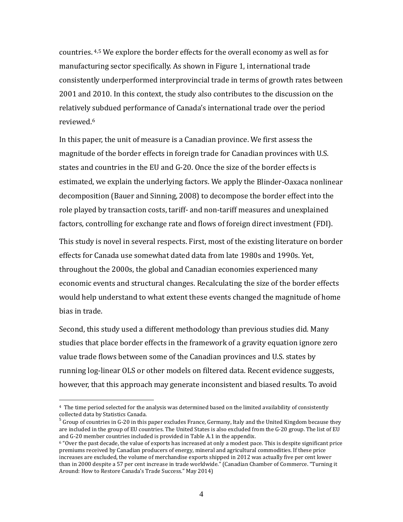countries. [4](#page-8-0),[5](#page-8-1) We explore the border effects for the overall economy as well as for manufacturing sector specifically. As shown in Figure 1, international trade consistently underperformed interprovincial trade in terms of growth rates between 2001 and 2010. In this context, the study also contributes to the discussion on the relatively subdued performance of Canada's international trade over the period reviewed.[6](#page-8-2)

In this paper, the unit of measure is a Canadian province. We first assess the magnitude of the border effects in foreign trade for Canadian provinces with U.S. states and countries in the EU and G-20. Once the size of the border effects is estimated, we explain the underlying factors. We apply the Blinder-Oaxaca nonlinear decomposition (Bauer and Sinning, 2008) to decompose the border effect into the role played by transaction costs, tariff- and non-tariff measures and unexplained factors, controlling for exchange rate and flows of foreign direct investment (FDI).

This study is novel in several respects. First, most of the existing literature on border effects for Canada use somewhat dated data from late 1980s and 1990s. Yet, throughout the 2000s, the global and Canadian economies experienced many economic events and structural changes. Recalculating the size of the border effects would help understand to what extent these events changed the magnitude of home bias in trade.

Second, this study used a different methodology than previous studies did. Many studies that place border effects in the framework of a gravity equation ignore zero value trade flows between some of the Canadian provinces and U.S. states by running log-linear OLS or other models on filtered data. Recent evidence suggests, however, that this approach may generate inconsistent and biased results. To avoid

 $\overline{a}$ 

<span id="page-8-0"></span><sup>4</sup> The time period selected for the analysis was determined based on the limited availability of consistently collected data by Statistics Canada.

<span id="page-8-1"></span><sup>&</sup>lt;sup>5</sup> Group of countries in G-20 in this paper excludes France, Germany, Italy and the United Kingdom because they are included in the group of EU countries. The United States is also excluded from the G-20 group. The list of EU and G-20 member countries included is provided in Table A.1 in the appendix.

<span id="page-8-2"></span><sup>6</sup> "Over the past decade, the value of exports has increased at only a modest pace. This is despite significant price premiums received by Canadian producers of energy, mineral and agricultural commodities. If these price increases are excluded, the volume of merchandise exports shipped in 2012 was actually five per cent lower than in 2000 despite a 57 per cent increase in trade worldwide." (Canadian Chamber of Commerce. "Turning it Around: How to Restore Canada's Trade Success." May 2014)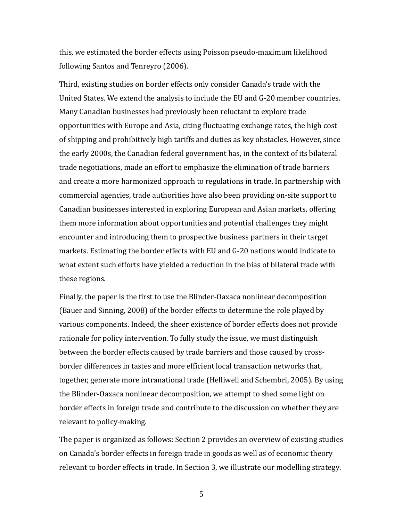this, we estimated the border effects using Poisson pseudo-maximum likelihood following Santos and Tenreyro (2006).

Third, existing studies on border effects only consider Canada's trade with the United States. We extend the analysis to include the EU and G-20 member countries. Many Canadian businesses had previously been reluctant to explore trade opportunities with Europe and Asia, citing fluctuating exchange rates, the high cost of shipping and prohibitively high tariffs and duties as key obstacles. However, since the early 2000s, the Canadian federal government has, in the context of its bilateral trade negotiations, made an effort to emphasize the elimination of trade barriers and create a more harmonized approach to regulations in trade. In partnership with commercial agencies, trade authorities have also been providing on-site support to Canadian businesses interested in exploring European and Asian markets, offering them more information about opportunities and potential challenges they might encounter and introducing them to prospective business partners in their target markets. Estimating the border effects with EU and G-20 nations would indicate to what extent such efforts have yielded a reduction in the bias of bilateral trade with these regions.

Finally, the paper is the first to use the Blinder-Oaxaca nonlinear decomposition (Bauer and Sinning, 2008) of the border effects to determine the role played by various components. Indeed, the sheer existence of border effects does not provide rationale for policy intervention. To fully study the issue, we must distinguish between the border effects caused by trade barriers and those caused by crossborder differences in tastes and more efficient local transaction networks that, together, generate more intranational trade (Helliwell and Schembri, 2005). By using the Blinder-Oaxaca nonlinear decomposition, we attempt to shed some light on border effects in foreign trade and contribute to the discussion on whether they are relevant to policy-making.

The paper is organized as follows: Section 2 provides an overview of existing studies on Canada's border effects in foreign trade in goods as well as of economic theory relevant to border effects in trade. In Section 3, we illustrate our modelling strategy.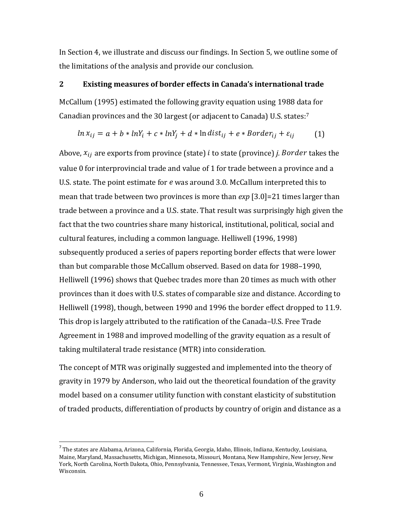In Section 4, we illustrate and discuss our findings. In Section 5, we outline some of the limitations of the analysis and provide our conclusion.

#### **2 Existing measures of border effects in Canada's international trade**

McCallum (1995) estimated the following gravity equation using 1988 data for Canadian provinces and the 30 largest (or adjacent to Canada) U.S. states:[7](#page-10-0)

$$
ln x_{ij} = a + b * ln Y_i + c * ln Y_j + d * ln dist_{ij} + e * Border_{ij} + \varepsilon_{ij}
$$
 (1)

Above,  $x_{ij}$  are exports from province (state) *i* to state (province) *j. Border* takes the value 0 for interprovincial trade and value of 1 for trade between a province and a U.S. state. The point estimate for e was around 3.0. McCallum interpreted this to mean that trade between two provinces is more than *exp* [3.0]=21 times larger than trade between a province and a U.S. state. That result was surprisingly high given the fact that the two countries share many historical, institutional, political, social and cultural features, including a common language. Helliwell (1996, 1998) subsequently produced a series of papers reporting border effects that were lower than but comparable those McCallum observed. Based on data for 1988–1990, Helliwell (1996) shows that Quebec trades more than 20 times as much with other provinces than it does with U.S. states of comparable size and distance. According to Helliwell (1998), though, between 1990 and 1996 the border effect dropped to 11.9. This drop is largely attributed to the ratification of the Canada–U.S. Free Trade Agreement in 1988 and improved modelling of the gravity equation as a result of taking multilateral trade resistance (MTR) into consideration.

The concept of MTR was originally suggested and implemented into the theory of gravity in 1979 by Anderson, who laid out the theoretical foundation of the gravity model based on a consumer utility function with constant elasticity of substitution of traded products, differentiation of products by country of origin and distance as a

<span id="page-10-0"></span><sup>7</sup> The states are Alabama, Arizona, California, Florida, Georgia, Idaho, Illinois, Indiana, Kentucky, Louisiana, Maine, Maryland, Massachusetts, Michigan, Minnesota, Missouri, Montana, New Hampshire, New Jersey, New York, North Carolina, North Dakota, Ohio, Pennsylvania, Tennessee, Texas, Vermont, Virginia, Washington and Wisconsin.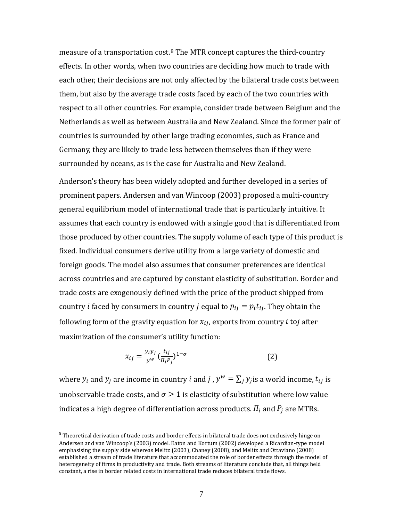measure of a transportation cost.<sup>[8](#page-11-0)</sup> The MTR concept captures the third-country effects. In other words, when two countries are deciding how much to trade with each other, their decisions are not only affected by the bilateral trade costs between them, but also by the average trade costs faced by each of the two countries with respect to all other countries. For example, consider trade between Belgium and the Netherlands as well as between Australia and New Zealand. Since the former pair of countries is surrounded by other large trading economies, such as France and Germany, they are likely to trade less between themselves than if they were surrounded by oceans, as is the case for Australia and New Zealand.

Anderson's theory has been widely adopted and further developed in a series of prominent papers. Andersen and van Wincoop (2003) proposed a multi-country general equilibrium model of international trade that is particularly intuitive. It assumes that each country is endowed with a single good that is differentiated from those produced by other countries. The supply volume of each type of this product is fixed. Individual consumers derive utility from a large variety of domestic and foreign goods. The model also assumes that consumer preferences are identical across countries and are captured by constant elasticity of substitution. Border and trade costs are exogenously defined with the price of the product shipped from country *i* faced by consumers in country *j* equal to  $p_{ij} = p_i t_{ij}$ . They obtain the following form of the gravity equation for  $x_{ij}$ , exports from country *i* toj after maximization of the consumer's utility function:

$$
x_{ij} = \frac{y_i y_j}{y^w} \left(\frac{t_{ij}}{\pi_i P_j}\right)^{1-\sigma} \tag{2}
$$

where  $y_i$  and  $y_j$  are income in country *i* and *j* ,  $y^w = \sum_j y_j$  is a world income,  $t_{ij}$  is unobservable trade costs, and  $\sigma > 1$  is elasticity of substitution where low value indicates a high degree of differentiation across products.  $\Pi_i$  and  $P_i$  are MTRs.

<span id="page-11-0"></span><sup>&</sup>lt;sup>8</sup> Theoretical derivation of trade costs and border effects in bilateral trade does not exclusively hinge on Andersen and van Wincoop's (2003) model. Eaton and Kortum (2002) developed a Ricardian-type model emphasising the supply side whereas Melitz (2003), Chaney (2008), and Melitz and Ottaviano (2008) established a stream of trade literature that accommodated the role of border effects through the model of heterogeneity of firms in productivity and trade. Both streams of literature conclude that, all things held constant, a rise in border related costs in international trade reduces bilateral trade flows.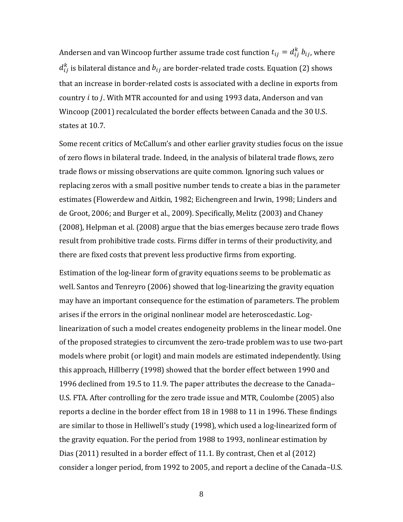Andersen and van Wincoop further assume trade cost function  $t_{ij} = d_{ij}^k b_{ij}$ , where  $d_{ij}^k$  is bilateral distance and  $b_{ij}$  are border-related trade costs. Equation (2) shows that an increase in border-related costs is associated with a decline in exports from country  $i$  to  $j$ . With MTR accounted for and using 1993 data, Anderson and van Wincoop (2001) recalculated the border effects between Canada and the 30 U.S. states at 10.7.

Some recent critics of McCallum's and other earlier gravity studies focus on the issue of zero flows in bilateral trade. Indeed, in the analysis of bilateral trade flows, zero trade flows or missing observations are quite common. Ignoring such values or replacing zeros with a small positive number tends to create a bias in the parameter estimates (Flowerdew and Aitkin, 1982; Eichengreen and Irwin, 1998; Linders and de Groot, 2006; and Burger et al., 2009). Specifically, Melitz (2003) and Chaney (2008), Helpman et al. (2008) argue that the bias emerges because zero trade flows result from prohibitive trade costs. Firms differ in terms of their productivity, and there are fixed costs that prevent less productive firms from exporting.

Estimation of the log-linear form of gravity equations seems to be problematic as well. Santos and Tenreyro (2006) showed that log-linearizing the gravity equation may have an important consequence for the estimation of parameters. The problem arises if the errors in the original nonlinear model are heteroscedastic. Loglinearization of such a model creates endogeneity problems in the linear model. One of the proposed strategies to circumvent the zero-trade problem was to use two-part models where probit (or logit) and main models are estimated independently. Using this approach, Hillberry (1998) showed that the border effect between 1990 and 1996 declined from 19.5 to 11.9. The paper attributes the decrease to the Canada– U.S. FTA. After controlling for the zero trade issue and MTR, Coulombe (2005) also reports a decline in the border effect from 18 in 1988 to 11 in 1996. These findings are similar to those in Helliwell's study (1998), which used a log-linearized form of the gravity equation. For the period from 1988 to 1993, nonlinear estimation by Dias (2011) resulted in a border effect of 11.1. By contrast, Chen et al (2012) consider a longer period, from 1992 to 2005, and report a decline of the Canada–U.S.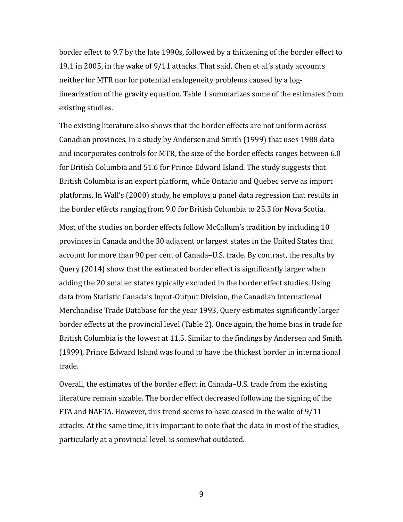border effect to 9.7 by the late 1990s, followed by a thickening of the border effect to 19.1 in 2005, in the wake of 9/11 attacks. That said, Chen et al.'s study accounts neither for MTR nor for potential endogeneity problems caused by a loglinearization of the gravity equation. Table 1 summarizes some of the estimates from existing studies.

The existing literature also shows that the border effects are not uniform across Canadian provinces. In a study by Andersen and Smith (1999) that uses 1988 data and incorporates controls for MTR, the size of the border effects ranges between 6.0 for British Columbia and 51.6 for Prince Edward Island. The study suggests that British Columbia is an export platform, while Ontario and Quebec serve as import platforms. In Wall's (2000) study, he employs a panel data regression that results in the border effects ranging from 9.0 for British Columbia to 25.3 for Nova Scotia.

Most of the studies on border effects follow McCallum's tradition by including 10 provinces in Canada and the 30 adjacent or largest states in the United States that account for more than 90 per cent of Canada–U.S. trade. By contrast, the results by Query (2014) show that the estimated border effect is significantly larger when adding the 20 smaller states typically excluded in the border effect studies. Using data from Statistic Canada's Input-Output Division, the Canadian International Merchandise Trade Database for the year 1993, Query estimates significantly larger border effects at the provincial level (Table 2). Once again, the home bias in trade for British Columbia is the lowest at 11.5. Similar to the findings by Andersen and Smith (1999), Prince Edward Island was found to have the thickest border in international trade.

Overall, the estimates of the border effect in Canada–U.S. trade from the existing literature remain sizable. The border effect decreased following the signing of the FTA and NAFTA. However, this trend seems to have ceased in the wake of 9/11 attacks. At the same time, it is important to note that the data in most of the studies, particularly at a provincial level, is somewhat outdated.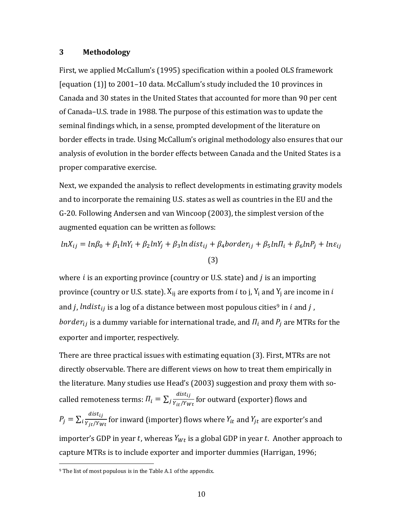#### **3 Methodology**

First, we applied McCallum's (1995) specification within a pooled OLS framework [equation (1)] to 2001–10 data. McCallum's study included the 10 provinces in Canada and 30 states in the United States that accounted for more than 90 per cent of Canada–U.S. trade in 1988. The purpose of this estimation was to update the seminal findings which, in a sense, prompted development of the literature on border effects in trade. Using McCallum's original methodology also ensures that our analysis of evolution in the border effects between Canada and the United States is a proper comparative exercise.

Next, we expanded the analysis to reflect developments in estimating gravity models and to incorporate the remaining U.S. states as well as countries in the EU and the G-20. Following Andersen and van Wincoop (2003), the simplest version of the augmented equation can be written as follows:

$$
lnX_{ij} = ln\beta_0 + \beta_1 lnY_i + \beta_2 lnY_j + \beta_3 ln dist_{ij} + \beta_4 border_{ij} + \beta_5 ln\Pi_i + \beta_6 lnP_j + ln\varepsilon_{ij}
$$
\n(3)

where  $i$  is an exporting province (country or U.S. state) and  $j$  is an importing province (country or U.S. state).  $X_{ij}$  are exports from i to j,  $Y_i$  and  $Y_j$  are income in i and j, *lndist<sub>ij</sub>* is a log of a distance between most populous cities<sup>[9](#page-14-0)</sup> in *i* and *j*, *border<sub>ij</sub>* is a dummy variable for international trade, and  $\Pi_i$  and  $P_i$  are MTRs for the exporter and importer, respectively.

There are three practical issues with estimating equation (3). First, MTRs are not directly observable. There are different views on how to treat them empirically in the literature. Many studies use Head's (2003) suggestion and proxy them with socalled remoteness terms:  $\Pi_i = \sum_j \frac{aist_{ij}}{Y_{it}/Y_{Wt}}$  for outward (exporter) flows and  $P_j = \sum_i \frac{aist_{ij}}{Y_{jt}/Y_{Wt}}$  for inward (importer) flows where  $Y_{it}$  and  $Y_{jt}$  are exporter's and importer's GDP in year t, whereas  $Y_{Wt}$  is a global GDP in year t. Another approach to capture MTRs is to include exporter and importer dummies (Harrigan, 1996;

 $\overline{a}$ 

<span id="page-14-0"></span><sup>9</sup> The list of most populous is in the Table A.1 of the appendix.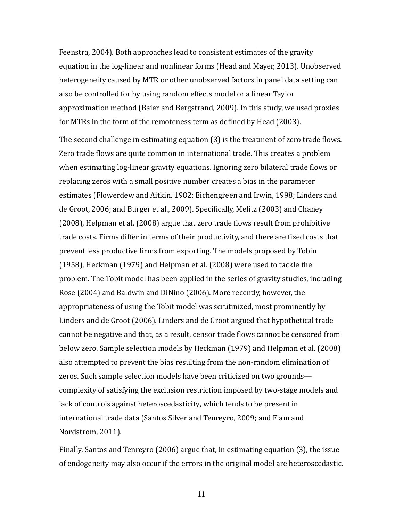Feenstra, 2004). Both approaches lead to consistent estimates of the gravity equation in the log-linear and nonlinear forms (Head and Mayer, 2013). Unobserved heterogeneity caused by MTR or other unobserved factors in panel data setting can also be controlled for by using random effects model or a linear Taylor approximation method (Baier and Bergstrand, 2009). In this study, we used proxies for MTRs in the form of the remoteness term as defined by Head (2003).

The second challenge in estimating equation (3) is the treatment of zero trade flows. Zero trade flows are quite common in international trade. This creates a problem when estimating log-linear gravity equations. Ignoring zero bilateral trade flows or replacing zeros with a small positive number creates a bias in the parameter estimates (Flowerdew and Aitkin, 1982; Eichengreen and Irwin, 1998; Linders and de Groot, 2006; and Burger et al., 2009). Specifically, Melitz (2003) and Chaney (2008), Helpman et al. (2008) argue that zero trade flows result from prohibitive trade costs. Firms differ in terms of their productivity, and there are fixed costs that prevent less productive firms from exporting. The models proposed by Tobin (1958), Heckman (1979) and Helpman et al. (2008) were used to tackle the problem. The Tobit model has been applied in the series of gravity studies, including Rose (2004) and Baldwin and DiNino (2006). More recently, however, the appropriateness of using the Tobit model was scrutinized, most prominently by Linders and de Groot (2006). Linders and de Groot argued that hypothetical trade cannot be negative and that, as a result, censor trade flows cannot be censored from below zero. Sample selection models by Heckman (1979) and Helpman et al. (2008) also attempted to prevent the bias resulting from the non-random elimination of zeros. Such sample selection models have been criticized on two grounds complexity of satisfying the exclusion restriction imposed by two-stage models and lack of controls against heteroscedasticity, which tends to be present in international trade data (Santos Silver and Tenreyro, 2009; and Flam and Nordstrom, 2011).

Finally, Santos and Tenreyro (2006) argue that, in estimating equation (3), the issue of endogeneity may also occur if the errors in the original model are heteroscedastic.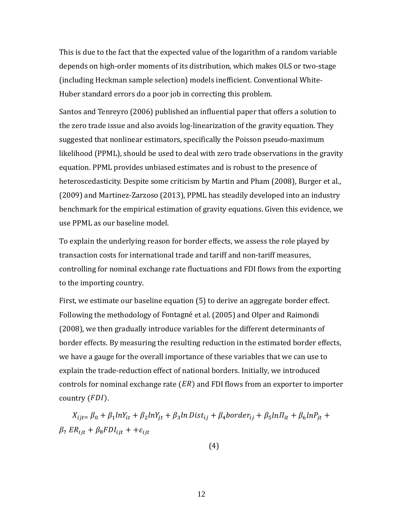This is due to the fact that the expected value of the logarithm of a random variable depends on high-order moments of its distribution, which makes OLS or two-stage (including Heckman sample selection) models inefficient. Conventional White-Huber standard errors do a poor job in correcting this problem.

Santos and Tenreyro (2006) published an influential paper that offers a solution to the zero trade issue and also avoids log-linearization of the gravity equation. They suggested that nonlinear estimators, specifically the Poisson pseudo-maximum likelihood (PPML), should be used to deal with zero trade observations in the gravity equation. PPML provides unbiased estimates and is robust to the presence of heteroscedasticity. Despite some criticism by Martin and Pham (2008), Burger et al., (2009) and Martinez-Zarzoso (2013), PPML has steadily developed into an industry benchmark for the empirical estimation of gravity equations. Given this evidence, we use PPML as our baseline model.

To explain the underlying reason for border effects, we assess the role played by transaction costs for international trade and tariff and non-tariff measures, controlling for nominal exchange rate fluctuations and FDI flows from the exporting to the importing country.

First, we estimate our baseline equation (5) to derive an aggregate border effect. Following the methodology of Fontagné et al. (2005) and Olper and Raimondi (2008), we then gradually introduce variables for the different determinants of border effects. By measuring the resulting reduction in the estimated border effects, we have a gauge for the overall importance of these variables that we can use to explain the trade-reduction effect of national borders. Initially, we introduced controls for nominal exchange rate  $(ER)$  and FDI flows from an exporter to importer country  $(FDI)$ .

 $X_{i} = \beta_0 + \beta_1 ln Y_{it} + \beta_2 ln Y_{it} + \beta_3 ln Dist_{ti} + \beta_4 border_{ti} + \beta_5 ln I_{it} + \beta_6 ln P_{it}$  $\beta_7 ER_{iit} + \beta_8 FDI_{iit} + + \varepsilon_{iit}$ 

(4)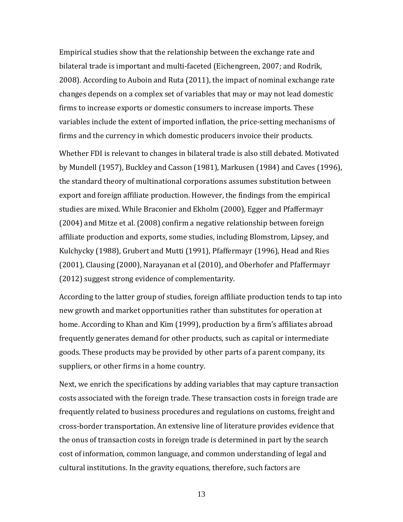Empirical studies show that the relationship between the exchange rate and bilateral trade is important and multi-faceted (Eichengreen, 2007; and Rodrik, 2008). According to Auboin and Ruta (2011), the impact of nominal exchange rate changes depends on a complex set of variables that may or may not lead domestic firms to increase exports or domestic consumers to increase imports. These variables include the extent of imported inflation, the price-setting mechanisms of firms and the currency in which domestic producers invoice their products.

Whether FDI is relevant to changes in bilateral trade is also still debated. Motivated by Mundell (1957), Buckley and Casson (1981), Markusen (1984) and Caves (1996), the standard theory of multinational corporations assumes substitution between export and foreign affiliate production. However, the findings from the empirical studies are mixed. While Braconier and Ekholm (2000), Egger and Pfaffermayr (2004) and Mitze et al. (2008) confirm a negative relationship between foreign affiliate production and exports, some studies, including Blomstrom, Lipsey, and Kulchycky (1988), Grubert and Mutti (1991), Pfaffermayr (1996), Head and Ries (2001), Clausing (2000), Narayanan et al (2010), and Oberhofer and Pfaffermayr (2012) suggest strong evidence of complementarity.

According to the latter group of studies, foreign affiliate production tends to tap into new growth and market opportunities rather than substitutes for operation at home. According to Khan and Kim (1999), production by a firm's affiliates abroad frequently generates demand for other products, such as capital or intermediate goods. These products may be provided by other parts of a parent company, its suppliers, or other firms in a home country.

Next, we enrich the specifications by adding variables that may capture transaction costs associated with the foreign trade. These transaction costs in foreign trade are frequently related to business procedures and regulations on customs, freight and cross-border transportation. An extensive line of literature provides evidence that the onus of transaction costs in foreign trade is determined in part by the search cost of information, common language, and common understanding of legal and cultural institutions. In the gravity equations, therefore, such factors are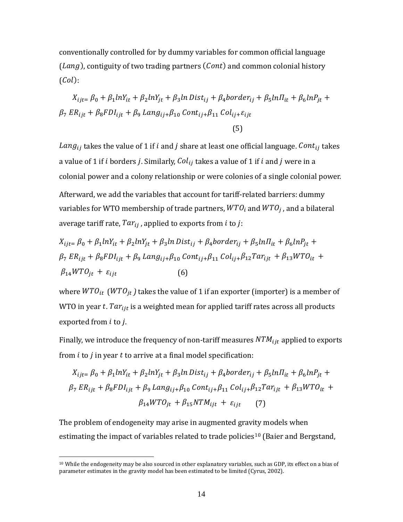conventionally controlled for by dummy variables for common official language  $(Lang)$ , contiguity of two trading partners  $(Cont)$  and common colonial history  $(Col):$ 

 $X_{ijt} = \beta_0 + \beta_1 ln Y_{it} + \beta_2 ln Y_{it} + \beta_3 ln Dist_{ij} + \beta_4 border_{ij} + \beta_5 ln I_{it} + \beta_6 ln P_{it}$  $\beta_7 ER_{ijt} + \beta_8 FDI_{ijt} + \beta_9 Lang_{ij} + \beta_{10} Cont_{ii} + \beta_{11} Col_{ii} + \varepsilon_{iit}$ 

$$
\left(5\right)
$$

Lang<sub>ij</sub> takes the value of 1 if *i* and *j* share at least one official language. Cont<sub>ij</sub> takes a value of 1 if i borders j. Similarly,  $Col_{ij}$  takes a value of 1 if i and j were in a colonial power and a colony relationship or were colonies of a single colonial power.

Afterward, we add the variables that account for tariff-related barriers: dummy variables for WTO membership of trade partners,  $WTO_i$  and  $WTO_j$ , and a bilateral average tariff rate,  $Tar_{ij}$ , applied to exports from *i* to *j*:

$$
X_{ijt} = \beta_0 + \beta_1 ln Y_{it} + \beta_2 ln Y_{jt} + \beta_3 ln Dist_{ij} + \beta_4 border_{ij} + \beta_5 ln I_{it} + \beta_6 ln P_{jt} +
$$
  
\n
$$
\beta_7 ER_{ijt} + \beta_8 FDI_{ijt} + \beta_9 Lang_{ij} + \beta_{10} Cont_{ij} + \beta_{11} Col_{ij} + \beta_{12} Tar_{ijt} + \beta_{13} WTO_{it} +
$$
  
\n
$$
\beta_{14} WTO_{jt} + \varepsilon_{ijt}
$$
 (6)

where  $WTO_{it}$  ( $WTO_{it}$ ) takes the value of 1 if an exporter (importer) is a member of WTO in year  $t$ .  $Tar_{ijt}$  is a weighted mean for applied tariff rates across all products exported from  $i$  to  $j$ .

Finally, we introduce the frequency of non-tariff measures  $NTM_{ijt}$  applied to exports from  $i$  to  $j$  in year  $t$  to arrive at a final model specification:

$$
X_{ijt} = \beta_0 + \beta_1 ln Y_{it} + \beta_2 ln Y_{jt} + \beta_3 ln Dist_{ij} + \beta_4 border_{ij} + \beta_5 ln \Pi_{it} + \beta_6 ln P_{jt} +
$$
  
\n
$$
\beta_7 ER_{ijt} + \beta_8 FDI_{ijt} + \beta_9 Lang_{ij} + \beta_{10} Cont_{ij} + \beta_{11} Col_{ij} + \beta_{12} Tar_{ijt} + \beta_{13} WTO_{it} +
$$
  
\n
$$
\beta_{14} WTO_{jt} + \beta_{15} NTM_{ijt} + \varepsilon_{ijt} \qquad (7)
$$

The problem of endogeneity may arise in augmented gravity models when estimating the impact of variables related to trade policies<sup>[10](#page-18-0)</sup> (Baier and Bergstand,

 $\overline{a}$ 

<span id="page-18-0"></span><sup>10</sup> While the endogeneity may be also sourced in other explanatory variables, such as GDP, its effect on a bias of parameter estimates in the gravity model has been estimated to be limited (Cyrus, 2002).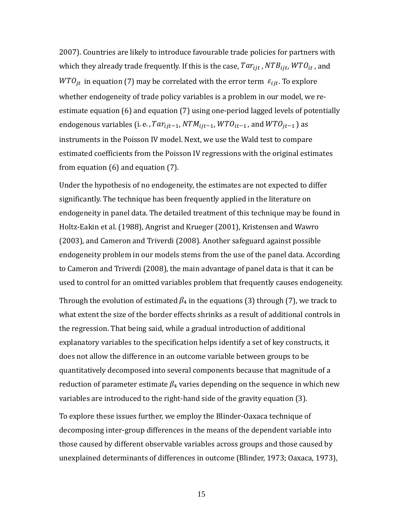2007). Countries are likely to introduce favourable trade policies for partners with which they already trade frequently. If this is the case,  $Tar_{ijt}$ ,  $NTB_{ijt}$ ,  $WTO_{it}$ , and  $WTO_{it}$  in equation (7) may be correlated with the error term  $\varepsilon_{iit}$ . To explore whether endogeneity of trade policy variables is a problem in our model, we reestimate equation (6) and equation (7) using one-period lagged levels of potentially endogenous variables (i.e.,  $Tar_{ijt-1}$ ,  $NTM_{ijt-1}$ ,  $WTO_{it-1}$ , and  $WTO_{jt-1}$ ) as instruments in the Poisson IV model. Next, we use the Wald test to compare estimated coefficients from the Poisson IV regressions with the original estimates from equation (6) and equation (7).

Under the hypothesis of no endogeneity, the estimates are not expected to differ significantly. The technique has been frequently applied in the literature on endogeneity in panel data. The detailed treatment of this technique may be found in Holtz-Eakin et al. (1988), Angrist and Krueger (2001), Kristensen and Wawro (2003), and Cameron and Triverdi (2008). Another safeguard against possible endogeneity problem in our models stems from the use of the panel data. According to Cameron and Triverdi (2008), the main advantage of panel data is that it can be used to control for an omitted variables problem that frequently causes endogeneity.

Through the evolution of estimated  $\beta_4$  in the equations (3) through (7), we track to what extent the size of the border effects shrinks as a result of additional controls in the regression. That being said, while a gradual introduction of additional explanatory variables to the specification helps identify a set of key constructs, it does not allow the difference in an outcome variable between groups to be quantitatively decomposed into several components because that magnitude of a reduction of parameter estimate  $\beta_4$  varies depending on the sequence in which new variables are introduced to the right-hand side of the gravity equation (3).

To explore these issues further, we employ the Blinder-Oaxaca technique of decomposing inter-group differences in the means of the dependent variable into those caused by different observable variables across groups and those caused by unexplained determinants of differences in outcome (Blinder, 1973; Oaxaca, 1973),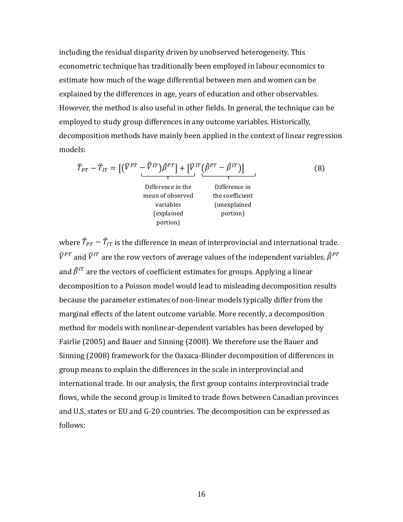including the residual disparity driven by unobserved heterogeneity. This econometric technique has traditionally been employed in labour economics to estimate how much of the wage differential between men and women can be explained by the differences in age, years of education and other observables. However, the method is also useful in other fields. In general, the technique can be employed to study group differences in any outcome variables. Historically, decomposition methods have mainly been applied in the context of linear regression models:

$$
\overline{T}_{PT} - \overline{T}_{IT} = \left[ \left( \overline{V}^{PT} - \overline{V}^{IT} \right) \hat{\beta}^{PT} \right] + \left[ \overline{V}^{IT} \left( \hat{\beta}^{PT} - \hat{\beta}^{IT} \right) \right]
$$
\n
$$
\text{Difference in the}
$$
\n
$$
\text{Difference in}
$$
\n(8)

Difference in the mean of observed variables (explained portion)

Difference in the coefficient (unexplained portion)

where  $T_{PT}-T_{IT}$  is the difference in mean of interprovincial and international trade.  $\bar{V}^{PT}$  and  $\bar{V}^{IT}$  are the row vectors of average values of the independent variables.  $\hat{\beta}^{PT}$ and  $\hat{\beta}^{IT}$  are the vectors of coefficient estimates for groups. Applying a linear decomposition to a Poisson model would lead to misleading decomposition results because the parameter estimates of non-linear models typically differ from the marginal effects of the latent outcome variable. More recently, a decomposition method for models with nonlinear-dependent variables has been developed by Fairlie (2005) and Bauer and Sinning (2008). We therefore use the Bauer and Sinning (2008) framework for the Oaxaca-Blinder decomposition of differences in group means to explain the differences in the scale in interprovincial and international trade. In our analysis, the first group contains interprovincial trade flows, while the second group is limited to trade flows between Canadian provinces and U.S. states or EU and G-20 countries. The decomposition can be expressed as follows: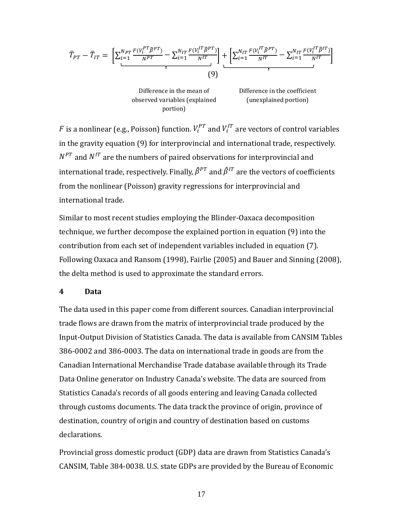$$
\overline{T}_{PT} - \overline{T}_{IT} = \left[ \sum_{i=1}^{N_{PT}} \frac{F(V_i^{PT} \beta^{PT})}{N^{PT}} - \sum_{i=1}^{N_{IT}} \frac{F(V_i^{IT} \beta^{PT})}{N^{IT}} \right] + \left[ \sum_{i=1}^{N_{IT}} \frac{F(V_i^{IT} \beta^{PT})}{N^{IT}} - \sum_{i=1}^{N_{IT}} \frac{F(V_i^{IT} \beta^{IT})}{N^{IT}} \right]
$$
\n(9)

Difference in the mean of observed variables (explained portion)

Difference in the coefficient (unexplained portion)

F is a nonlinear (e.g., Poisson) function.  $V_l^{PT}$  and  $V_l^{IT}$  are vectors of control variables in the gravity equation (9) for interprovincial and international trade, respectively.  $N^{PT}$  and  $N^{IT}$  are the numbers of paired observations for interprovincial and international trade, respectively. Finally,  $\hat{\beta}^{PT}$  and  $\hat{\beta}^{IT}$  are the vectors of coefficients from the nonlinear (Poisson) gravity regressions for interprovincial and international trade.

Similar to most recent studies employing the Blinder-Oaxaca decomposition technique, we further decompose the explained portion in equation (9) into the contribution from each set of independent variables included in equation (7). Following Oaxaca and Ransom (1998), Fairlie (2005) and Bauer and Sinning (2008), the delta method is used to approximate the standard errors.

#### **4 Data**

The data used in this paper come from different sources. Canadian interprovincial trade flows are drawn from the matrix of interprovincial trade produced by the Input-Output Division of Statistics Canada. The data is available from CANSIM Tables 386-0002 and 386-0003. The data on international trade in goods are from the Canadian International Merchandise Trade database available through its Trade Data Online generator on Industry Canada's website. The data are sourced from Statistics Canada's records of all goods entering and leaving Canada collected through customs documents. The data track the province of origin, province of destination, country of origin and country of destination based on customs declarations.

Provincial gross domestic product (GDP) data are drawn from Statistics Canada's CANSIM, Table 384-0038. U.S. state GDPs are provided by the Bureau of Economic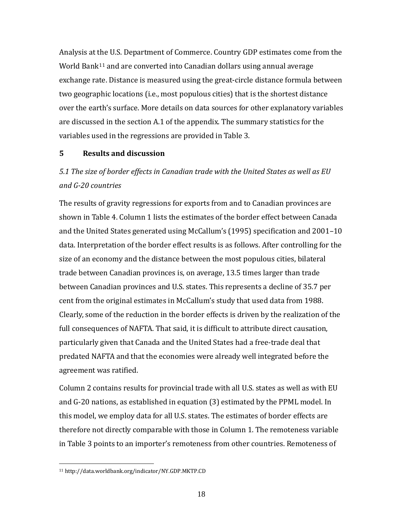Analysis at the U.S. Department of Commerce. Country GDP estimates come from the World Bank<sup>[11](#page-22-0)</sup> and are converted into Canadian dollars using annual average exchange rate. Distance is measured using the great-circle distance formula between two geographic locations (i.e., most populous cities) that is the shortest distance over the earth's surface. More details on data sources for other explanatory variables are discussed in the section A.1 of the appendix. The summary statistics for the variables used in the regressions are provided in Table 3.

#### **5 Results and discussion**

### *5.1 The size of border effects in Canadian trade with the United States as well as EU and G-20 countries*

The results of gravity regressions for exports from and to Canadian provinces are shown in Table 4. Column 1 lists the estimates of the border effect between Canada and the United States generated using McCallum's (1995) specification and 2001–10 data. Interpretation of the border effect results is as follows. After controlling for the size of an economy and the distance between the most populous cities, bilateral trade between Canadian provinces is, on average, 13.5 times larger than trade between Canadian provinces and U.S. states. This represents a decline of 35.7 per cent from the original estimates in McCallum's study that used data from 1988. Clearly, some of the reduction in the border effects is driven by the realization of the full consequences of NAFTA. That said, it is difficult to attribute direct causation, particularly given that Canada and the United States had a free-trade deal that predated NAFTA and that the economies were already well integrated before the agreement was ratified.

Column 2 contains results for provincial trade with all U.S. states as well as with EU and G-20 nations, as established in equation (3) estimated by the PPML model. In this model, we employ data for all U.S. states. The estimates of border effects are therefore not directly comparable with those in Column 1. The remoteness variable in Table 3 points to an importer's remoteness from other countries. Remoteness of

<span id="page-22-0"></span> $\overline{a}$ <sup>11</sup> http://data.worldbank.org/indicator/NY.GDP.MKTP.CD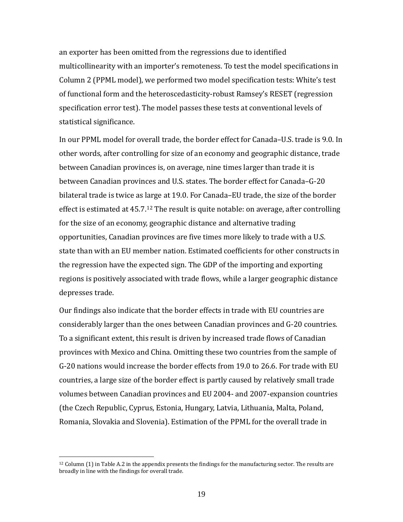an exporter has been omitted from the regressions due to identified multicollinearity with an importer's remoteness. To test the model specifications in Column 2 (PPML model), we performed two model specification tests: White's test of functional form and the heteroscedasticity-robust Ramsey's RESET (regression specification error test). The model passes these tests at conventional levels of statistical significance.

In our PPML model for overall trade, the border effect for Canada–U.S. trade is 9.0. In other words, after controlling for size of an economy and geographic distance, trade between Canadian provinces is, on average, nine times larger than trade it is between Canadian provinces and U.S. states. The border effect for Canada–G-20 bilateral trade is twice as [lar](#page-23-0)ge at 19.0. For Canada–EU trade, the size of the border effect is estimated at 45.7. <sup>12</sup> The result is quite notable: on average, after controlling for the size of an economy, geographic distance and alternative trading opportunities, Canadian provinces are five times more likely to trade with a U.S. state than with an EU member nation. Estimated coefficients for other constructs in the regression have the expected sign. The GDP of the importing and exporting regions is positively associated with trade flows, while a larger geographic distance depresses trade.

Our findings also indicate that the border effects in trade with EU countries are considerably larger than the ones between Canadian provinces and G-20 countries. To a significant extent, this result is driven by increased trade flows of Canadian provinces with Mexico and China. Omitting these two countries from the sample of G-20 nations would increase the border effects from 19.0 to 26.6. For trade with EU countries, a large size of the border effect is partly caused by relatively small trade volumes between Canadian provinces and EU 2004- and 2007-expansion countries (the Czech Republic, Cyprus, Estonia, Hungary, Latvia, Lithuania, Malta, Poland, Romania, Slovakia and Slovenia). Estimation of the PPML for the overall trade in

 $\overline{a}$ 

<span id="page-23-0"></span><sup>12</sup> Column (1) in Table A.2 in the appendix presents the findings for the manufacturing sector. The results are broadly in line with the findings for overall trade.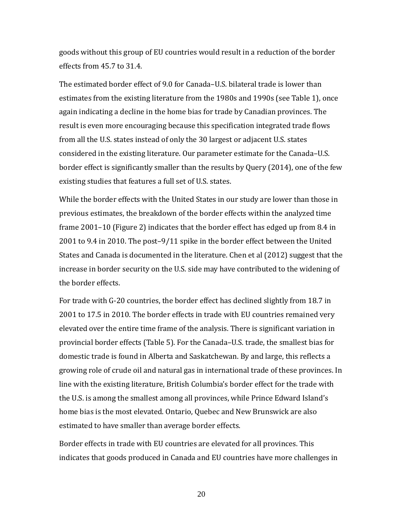goods without this group of EU countries would result in a reduction of the border effects from 45.7 to 31.4.

The estimated border effect of 9.0 for Canada–U.S. bilateral trade is lower than estimates from the existing literature from the 1980s and 1990s (see Table 1), once again indicating a decline in the home bias for trade by Canadian provinces. The result is even more encouraging because this specification integrated trade flows from all the U.S. states instead of only the 30 largest or adjacent U.S. states considered in the existing literature. Our parameter estimate for the Canada–U.S. border effect is significantly smaller than the results by Query (2014), one of the few existing studies that features a full set of U.S. states.

While the border effects with the United States in our study are lower than those in previous estimates, the breakdown of the border effects within the analyzed time frame 2001–10 (Figure 2) indicates that the border effect has edged up from 8.4 in 2001 to 9.4 in 2010. The post–9/11 spike in the border effect between the United States and Canada is documented in the literature. Chen et al (2012) suggest that the increase in border security on the U.S. side may have contributed to the widening of the border effects.

For trade with G-20 countries, the border effect has declined slightly from 18.7 in 2001 to 17.5 in 2010. The border effects in trade with EU countries remained very elevated over the entire time frame of the analysis. There is significant variation in provincial border effects (Table 5). For the Canada–U.S. trade, the smallest bias for domestic trade is found in Alberta and Saskatchewan. By and large, this reflects a growing role of crude oil and natural gas in international trade of these provinces. In line with the existing literature, British Columbia's border effect for the trade with the U.S. is among the smallest among all provinces, while Prince Edward Island's home bias is the most elevated. Ontario, Quebec and New Brunswick are also estimated to have smaller than average border effects.

Border effects in trade with EU countries are elevated for all provinces. This indicates that goods produced in Canada and EU countries have more challenges in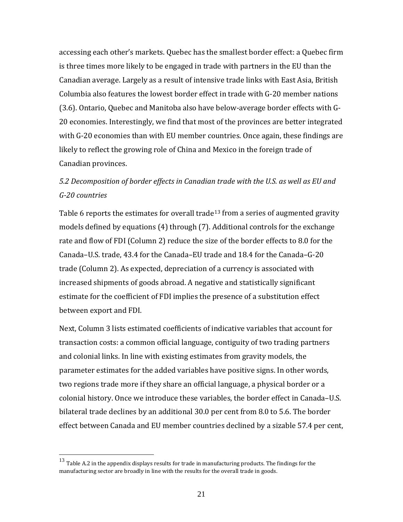accessing each other's markets. Quebec has the smallest border effect: a Quebec firm is three times more likely to be engaged in trade with partners in the EU than the Canadian average. Largely as a result of intensive trade links with East Asia, British Columbia also features the lowest border effect in trade with G-20 member nations (3.6). Ontario, Quebec and Manitoba also have below-average border effects with G-20 economies. Interestingly, we find that most of the provinces are better integrated with G-20 economies than with EU member countries. Once again, these findings are likely to reflect the growing role of China and Mexico in the foreign trade of Canadian provinces.

### *5.2 Decomposition of border effects in Canadian trade with the U.S. as well as EU and G-20 countries*

Table 6 reports the estimates for overall trade<sup>[13](#page-25-0)</sup> from a series of augmented gravity models defined by equations (4) through (7). Additional controls for the exchange rate and flow of FDI (Column 2) reduce the size of the border effects to 8.0 for the Canada–U.S. trade, 43.4 for the Canada–EU trade and 18.4 for the Canada–G-20 trade (Column 2). As expected, depreciation of a currency is associated with increased shipments of goods abroad. A negative and statistically significant estimate for the coefficient of FDI implies the presence of a substitution effect between export and FDI.

Next, Column 3 lists estimated coefficients of indicative variables that account for transaction costs: a common official language, contiguity of two trading partners and colonial links. In line with existing estimates from gravity models, the parameter estimates for the added variables have positive signs. In other words, two regions trade more if they share an official language, a physical border or a colonial history. Once we introduce these variables, the border effect in Canada–U.S. bilateral trade declines by an additional 30.0 per cent from 8.0 to 5.6. The border effect between Canada and EU member countries declined by a sizable 57.4 per cent,

<span id="page-25-0"></span><sup>&</sup>lt;sup>13</sup> Table A.2 in the appendix displays results for trade in manufacturing products. The findings for the manufacturing sector are broadly in line with the results for the overall trade in goods.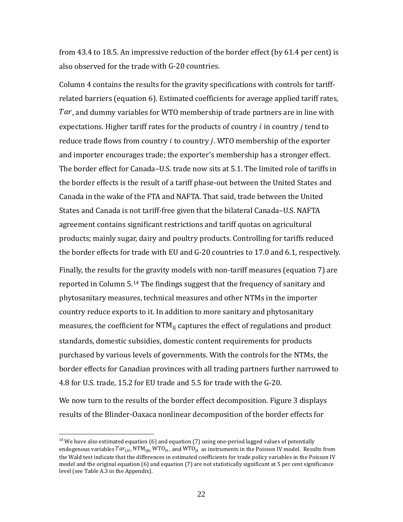from 43.4 to 18.5. An impressive reduction of the border effect (by 61.4 per cent) is also observed for the trade with G-20 countries.

Column 4 contains the results for the gravity specifications with controls for tariffrelated barriers (equation 6). Estimated coefficients for average applied tariff rates, Tar, and dummy variables for WTO membership of trade partners are in line with expectations. Higher tariff rates for the products of country  $i$  in country  $j$  tend to reduce trade flows from country  $i$  to country  $j$ . WTO membership of the exporter and importer encourages trade; the exporter's membership has a stronger effect. The border effect for Canada–U.S. trade now sits at 5.1. The limited role of tariffs in the border effects is the result of a tariff phase-out between the United States and Canada in the wake of the FTA and NAFTA. That said, trade between the United States and Canada is not tariff-free given that the bilateral Canada–U.S. NAFTA agreement contains significant restrictions and tariff quotas on agricultural products; mainly sugar, dairy and poultry products. Controlling for tariffs reduced the border effects for trade with EU and G-20 countries to 17.0 and 6.1, respectively.

Finally, the results for the gravity models with non-tariff measures (equation 7) are reported in Column 5.[14](#page-26-0) The findings suggest that the frequency of sanitary and phytosanitary measures, technical measures and other NTMs in the importer country reduce exports to it. In addition to more sanitary and phytosanitary measures, the coefficient for  $NTM_{ij}$  captures the effect of regulations and product standards, domestic subsidies, domestic content requirements for products purchased by various levels of governments. With the controls for the NTMs, the border effects for Canadian provinces with all trading partners further narrowed to 4.8 for U.S. trade, 15.2 for EU trade and 5.5 for trade with the G-20.

We now turn to the results of the border effect decomposition. Figure 3 displays results of the Blinder-Oaxaca nonlinear decomposition of the border effects for

 $\overline{a}$ 

<span id="page-26-0"></span><sup>&</sup>lt;sup>14</sup> We have also estimated equation (6) and equation (7) using one-period lagged values of potentially endogenous variables  $Tar_{i,t}$ , NTM<sub>ijt</sub>, WTO<sub>it</sub>, and WTO<sub>jt</sub> as instruments in the Poisson IV model. Results from the Wald test indicate that the differences in estimated coefficients for trade policy variables in the Poisson IV model and the original equation (6) and equation (7) are not statistically significant at 5 per cent significance level (see Table A.3 in the Appendix).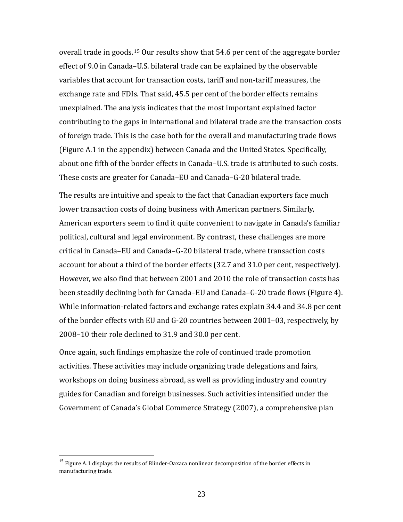overall trade in goods.[15](#page-27-0) Our results show that 54.6 per cent of the aggregate border effect of 9.0 in Canada–U.S. bilateral trade can be explained by the observable variables that account for transaction costs, tariff and non-tariff measures, the exchange rate and FDIs. That said, 45.5 per cent of the border effects remains unexplained. The analysis indicates that the most important explained factor contributing to the gaps in international and bilateral trade are the transaction costs of foreign trade. This is the case both for the overall and manufacturing trade flows (Figure A.1 in the appendix) between Canada and the United States. Specifically, about one fifth of the border effects in Canada–U.S. trade is attributed to such costs. These costs are greater for Canada–EU and Canada–G-20 bilateral trade.

The results are intuitive and speak to the fact that Canadian exporters face much lower transaction costs of doing business with American partners. Similarly, American exporters seem to find it quite convenient to navigate in Canada's familiar political, cultural and legal environment. By contrast, these challenges are more critical in Canada–EU and Canada–G-20 bilateral trade, where transaction costs account for about a third of the border effects (32.7 and 31.0 per cent, respectively). However, we also find that between 2001 and 2010 the role of transaction costs has been steadily declining both for Canada–EU and Canada–G-20 trade flows (Figure 4). While information-related factors and exchange rates explain 34.4 and 34.8 per cent of the border effects with EU and G-20 countries between 2001–03, respectively, by 2008–10 their role declined to 31.9 and 30.0 per cent.

Once again, such findings emphasize the role of continued trade promotion activities. These activities may include organizing trade delegations and fairs, workshops on doing business abroad, as well as providing industry and country guides for Canadian and foreign businesses. Such activities intensified under the Government of Canada's Global Commerce Strategy (2007), a comprehensive plan

<span id="page-27-0"></span><sup>&</sup>lt;sup>15</sup> Figure A.1 displays the results of Blinder-Oaxaca nonlinear decomposition of the border effects in manufacturing trade.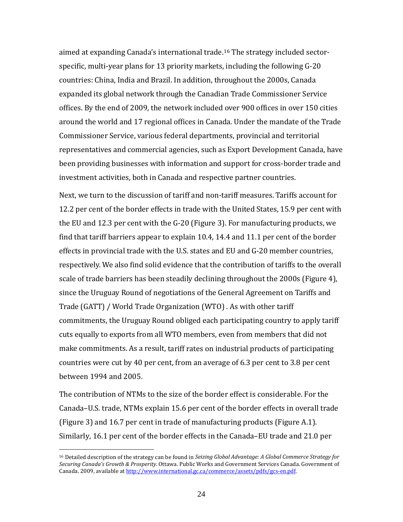aimed at expanding Canada's international trade. [16](#page-28-0) The strategy included sectorspecific, multi-year plans for 13 priority markets, including the following G-20 countries: China, India and Brazil. In addition, throughout the 2000s, Canada expanded its global network through the Canadian Trade Commissioner Service offices. By the end of 2009, the network included over 900 offices in over 150 cities around the world and 17 regional offices in Canada. Under the mandate of the Trade Commissioner Service, various federal departments, provincial and territorial representatives and commercial agencies, such as Export Development Canada, have been providing businesses with information and support for cross-border trade and investment activities, both in Canada and respective partner countries.

Next, we turn to the discussion of tariff and non-tariff measures. Tariffs account for 12.2 per cent of the border effects in trade with the United States, 15.9 per cent with the EU and 12.3 per cent with the G-20 (Figure 3). For manufacturing products, we find that tariff barriers appear to explain 10.4, 14.4 and 11.1 per cent of the border effects in provincial trade with the U.S. states and EU and G-20 member countries, respectively. We also find solid evidence that the contribution of tariffs to the overall scale of trade barriers has been steadily declining throughout the 2000s (Figure 4), since the Uruguay Round of negotiations of the General Agreement on Tariffs and Trade (GATT) / World Trade Organization (WTO) . As with other tariff commitments, the Uruguay Round obliged each participating country to apply tariff cuts equally to exports from all WTO members, even from members that did not make commitments. As a result, tariff rates on industrial products of participating countries were cut by 40 per cent, from an average of 6.3 per cent to 3.8 per cent between 1994 and 2005.

The contribution of NTMs to the size of the border effect is considerable. For the Canada–U.S. trade, NTMs explain 15.6 per cent of the border effects in overall trade (Figure 3) and 16.7 per cent in trade of manufacturing products (Figure A.1). Similarly, 16.1 per cent of the border effects in the Canada–EU trade and 21.0 per

 $\overline{a}$ 

<span id="page-28-0"></span><sup>16</sup> Detailed description of the strategy can be found in *Seizing Global Advantage: A Global Commerce Strategy for Securing Canada's Growth & Prosperity*. Ottawa. Public Works and Government Services Canada. Government of Canada. 2009, available a[t http://www.international.gc.ca/commerce/assets/pdfs/gcs-en.pdf.](http://www.international.gc.ca/commerce/assets/pdfs/gcs-en.pdf)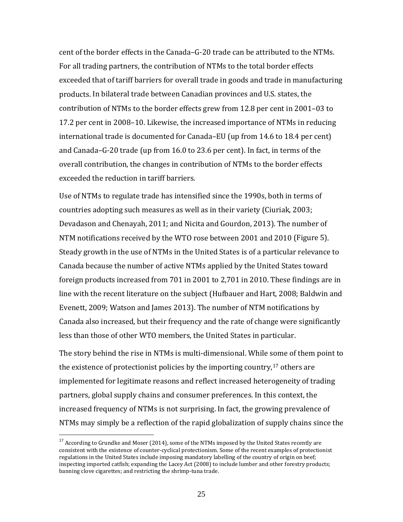cent of the border effects in the Canada–G-20 trade can be attributed to the NTMs. For all trading partners, the contribution of NTMs to the total border effects exceeded that of tariff barriers for overall trade in goods and trade in manufacturing products. In bilateral trade between Canadian provinces and U.S. states, the contribution of NTMs to the border effects grew from 12.8 per cent in 2001–03 to 17.2 per cent in 2008–10. Likewise, the increased importance of NTMs in reducing international trade is documented for Canada–EU (up from 14.6 to 18.4 per cent) and Canada–G-20 trade (up from 16.0 to 23.6 per cent). In fact, in terms of the overall contribution, the changes in contribution of NTMs to the border effects exceeded the reduction in tariff barriers.

Use of NTMs to regulate trade has intensified since the 1990s, both in terms of countries adopting such measures as well as in their variety (Ciuriak, 2003; Devadason and Chenayah, 2011; and Nicita and Gourdon, 2013). The number of NTM notifications received by the WTO rose between 2001 and 2010 (Figure 5). Steady growth in the use of NTMs in the United States is of a particular relevance to Canada because the number of active NTMs applied by the United States toward foreign products increased from 701 in 2001 to 2,701 in 2010. These findings are in line with the recent literature on the subject (Hufbauer and Hart, 2008; Baldwin and Evenett, 2009; Watson and James 2013). The number of NTM notifications by Canada also increased, but their frequency and the rate of change were significantly less than those of other WTO members, the United States in particular.

The story behind the rise in NTMs is multi-dimensional. While some of them point to the existence of protectionist policies by the importing country,  $17$  others are implemented for legitimate reasons and reflect increased heterogeneity of trading partners, global supply chains and consumer preferences. In this context, the increased frequency of NTMs is not surprising. In fact, the growing prevalence of NTMs may simply be a reflection of the rapid globalization of supply chains since the

<span id="page-29-0"></span><sup>&</sup>lt;sup>17</sup> According to Grundke and Moser (2014), some of the NTMs imposed by the United States recently are consistent with the existence of counter-cyclical protectionism. Some of the recent examples of protectionist regulations in the United States include imposing mandatory labelling of the country of origin on beef; inspecting imported catfish; expanding the Lacey Act (2008) to include lumber and other forestry products; banning clove cigarettes; and restricting the shrimp-tuna trade.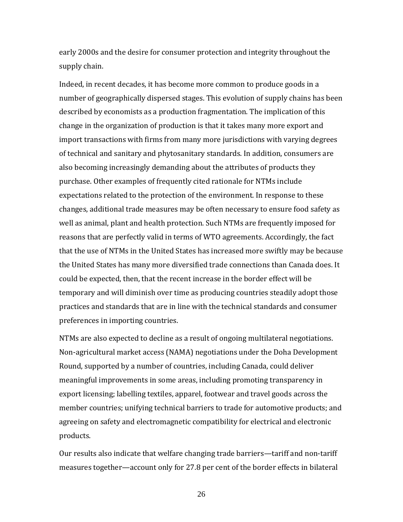early 2000s and the desire for consumer protection and integrity throughout the supply chain.

Indeed, in recent decades, it has become more common to produce goods in a number of geographically dispersed stages. This evolution of supply chains has been described by economists as a production fragmentation. The implication of this change in the organization of production is that it takes many more export and import transactions with firms from many more jurisdictions with varying degrees of technical and sanitary and phytosanitary standards. In addition, consumers are also becoming increasingly demanding about the attributes of products they purchase. Other examples of frequently cited rationale for NTMs include expectations related to the protection of the environment. In response to these changes, additional trade measures may be often necessary to ensure food safety as well as animal, plant and health protection. Such NTMs are frequently imposed for reasons that are perfectly valid in terms of WTO agreements. Accordingly, the fact that the use of NTMs in the United States has increased more swiftly may be because the United States has many more diversified trade connections than Canada does. It could be expected, then, that the recent increase in the border effect will be temporary and will diminish over time as producing countries steadily adopt those practices and standards that are in line with the technical standards and consumer preferences in importing countries.

NTMs are also expected to decline as a result of ongoing multilateral negotiations. Non-agricultural market access (NAMA) negotiations under the Doha Development Round, supported by a number of countries, including Canada, could deliver meaningful improvements in some areas, including promoting transparency in export licensing; labelling textiles, apparel, footwear and travel goods across the member countries; unifying technical barriers to trade for automotive products; and agreeing on safety and electromagnetic compatibility for electrical and electronic products.

Our results also indicate that welfare changing trade barriers—tariff and non-tariff measures together—account only for 27.8 per cent of the border effects in bilateral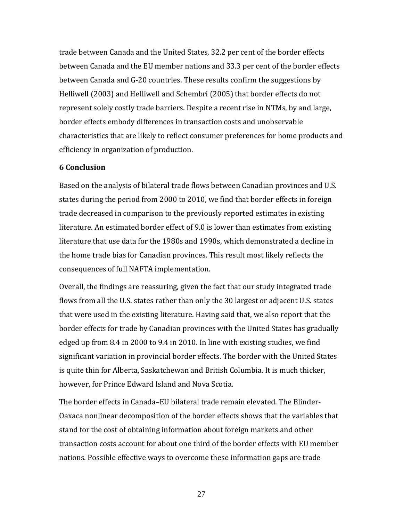trade between Canada and the United States, 32.2 per cent of the border effects between Canada and the EU member nations and 33.3 per cent of the border effects between Canada and G-20 countries. These results confirm the suggestions by Helliwell (2003) and Helliwell and Schembri (2005) that border effects do not represent solely costly trade barriers. Despite a recent rise in NTMs, by and large, border effects embody differences in transaction costs and unobservable characteristics that are likely to reflect consumer preferences for home products and efficiency in organization of production.

#### **6 Conclusion**

Based on the analysis of bilateral trade flows between Canadian provinces and U.S. states during the period from 2000 to 2010, we find that border effects in foreign trade decreased in comparison to the previously reported estimates in existing literature. An estimated border effect of 9.0 is lower than estimates from existing literature that use data for the 1980s and 1990s, which demonstrated a decline in the home trade bias for Canadian provinces. This result most likely reflects the consequences of full NAFTA implementation.

Overall, the findings are reassuring, given the fact that our study integrated trade flows from all the U.S. states rather than only the 30 largest or adjacent U.S. states that were used in the existing literature. Having said that, we also report that the border effects for trade by Canadian provinces with the United States has gradually edged up from 8.4 in 2000 to 9.4 in 2010. In line with existing studies, we find significant variation in provincial border effects. The border with the United States is quite thin for Alberta, Saskatchewan and British Columbia. It is much thicker, however, for Prince Edward Island and Nova Scotia.

The border effects in Canada–EU bilateral trade remain elevated. The Blinder-Oaxaca nonlinear decomposition of the border effects shows that the variables that stand for the cost of obtaining information about foreign markets and other transaction costs account for about one third of the border effects with EU member nations. Possible effective ways to overcome these information gaps are trade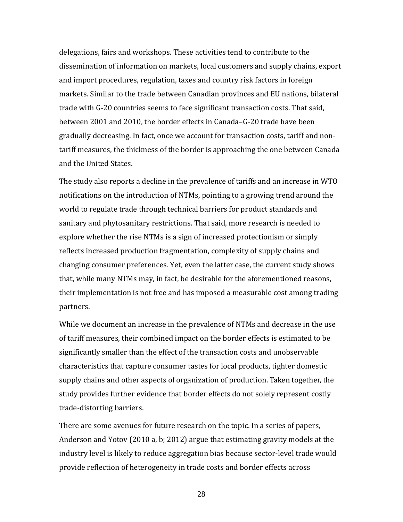delegations, fairs and workshops. These activities tend to contribute to the dissemination of information on markets, local customers and supply chains, export and import procedures, regulation, taxes and country risk factors in foreign markets. Similar to the trade between Canadian provinces and EU nations, bilateral trade with G-20 countries seems to face significant transaction costs. That said, between 2001 and 2010, the border effects in Canada–G-20 trade have been gradually decreasing. In fact, once we account for transaction costs, tariff and nontariff measures, the thickness of the border is approaching the one between Canada and the United States.

The study also reports a decline in the prevalence of tariffs and an increase in WTO notifications on the introduction of NTMs, pointing to a growing trend around the world to regulate trade through technical barriers for product standards and sanitary and phytosanitary restrictions. That said, more research is needed to explore whether the rise NTMs is a sign of increased protectionism or simply reflects increased production fragmentation, complexity of supply chains and changing consumer preferences. Yet, even the latter case, the current study shows that, while many NTMs may, in fact, be desirable for the aforementioned reasons, their implementation is not free and has imposed a measurable cost among trading partners.

While we document an increase in the prevalence of NTMs and decrease in the use of tariff measures, their combined impact on the border effects is estimated to be significantly smaller than the effect of the transaction costs and unobservable characteristics that capture consumer tastes for local products, tighter domestic supply chains and other aspects of organization of production. Taken together, the study provides further evidence that border effects do not solely represent costly trade-distorting barriers.

There are some avenues for future research on the topic. In a series of papers, Anderson and Yotov (2010 a, b; 2012) argue that estimating gravity models at the industry level is likely to reduce aggregation bias because sector-level trade would provide reflection of heterogeneity in trade costs and border effects across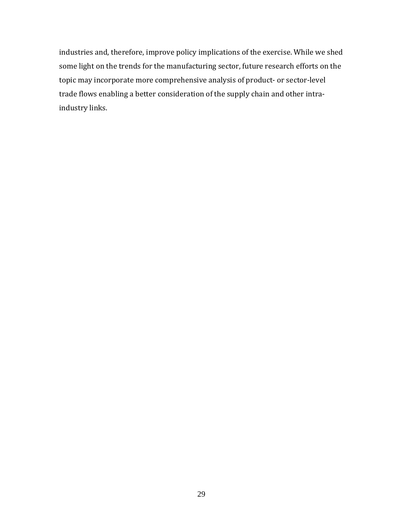industries and, therefore, improve policy implications of the exercise. While we shed some light on the trends for the manufacturing sector, future research efforts on the topic may incorporate more comprehensive analysis of product- or sector-level trade flows enabling a better consideration of the supply chain and other intraindustry links.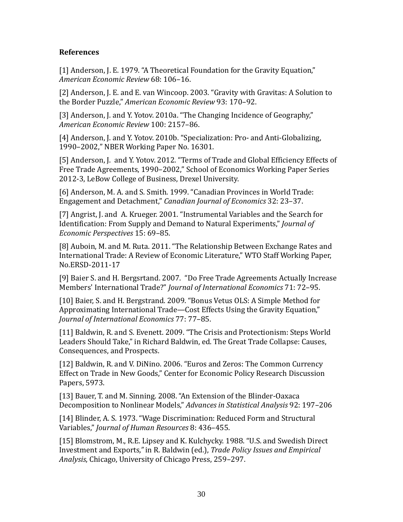#### **References**

[1] Anderson, J. E. 1979. "A Theoretical Foundation for the Gravity Equation," *American Economic Review* 68: 106–16.

[2] Anderson, J. E. and E. van Wincoop. 2003. "Gravity with Gravitas: A Solution to the Border Puzzle," *American Economic Review* 93: 170–92.

[3] Anderson, J. and Y. Yotov. 2010a. "The Changing Incidence of Geography," *American Economic Review* 100: 2157–86.

[4] Anderson, J. and Y. Yotov. 2010b. "Specialization: Pro- and Anti-Globalizing, 1990–2002," NBER Working Paper No. 16301.

[5] Anderson, J. and Y. Yotov. 2012. "Terms of Trade and Global Efficiency Effects of Free Trade Agreements, 1990–2002," School of Economics Working Paper Series 2012-3, LeBow College of Business, Drexel University.

[6] Anderson, M. A. and S. Smith. 1999. "Canadian Provinces in World Trade: Engagement and Detachment," *Canadian Journal of Economics* 32: 23–37.

[7] Angrist, J. and A. Krueger. 2001. "Instrumental Variables and the Search for Identification: From Supply and Demand to Natural Experiments," *Journal of Economic Perspectives* 15: 69–85.

[8] Auboin, M. and M. Ruta. 2011. "The Relationship Between Exchange Rates and International Trade: A Review of Economic Literature," WTO Staff Working Paper, No.ERSD-2011-17

[9] Baier S. and H. Bergsrtand. 2007. "Do Free Trade Agreements Actually Increase Members' International Trade?" *Journal of International Economics* 71: 72–95.

[10] Baier, S. and H. Bergstrand. 2009. "Bonus Vetus OLS: A Simple Method for Approximating International Trade—Cost Effects Using the Gravity Equation," *Journal of International Economics* 77: 77–85.

[11] Baldwin, R. and S. Evenett. 2009. "The Crisis and Protectionism: Steps World Leaders Should Take," in Richard Baldwin, ed. The Great Trade Collapse: Causes, Consequences, and Prospects.

[12] Baldwin, R. and V. DiNino. 2006. "Euros and Zeros: The Common Currency Effect on Trade in New Goods," Center for Economic Policy Research Discussion Papers, 5973.

[13] Bauer, T. and M. Sinning. 2008. "An Extension of the Blinder-Oaxaca Decomposition to Nonlinear Models," *Advances in Statistical Analysis* 92: 197–206

[14] Blinder, A. S. 1973. "Wage Discrimination: Reduced Form and Structural Variables," *Journal of Human Resources* 8: 436–455.

[15] Blomstrom, M., R.E. Lipsey and K. Kulchycky. 1988. "U.S. and Swedish Direct Investment and Exports*,"* in R. Baldwin (ed.), *Trade Policy Issues and Empirical Analysis*, Chicago, University of Chicago Press, 259–297.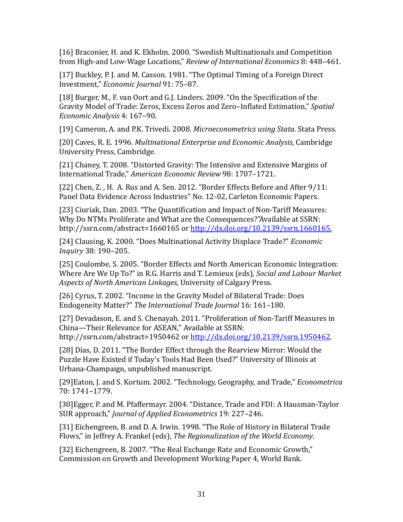[16] Braconier, H. and K. Ekholm. 2000. "Swedish Multinationals and Competition from High-and Low-Wage Locations," *Review of International Economics* 8: 448–461.

[17] Buckley, P. J. and M. Casson. 1981. "The Optimal Timing of a Foreign Direct Investment," *Economic Journal* 91: 75–87.

[18] Burger, M., F. van Oort and G.J. Linders. 2009. "On the Specification of the Gravity Model of Trade: Zeros, Excess Zeros and Zero–Inflated Estimation," *Spatial Economic Analysis* 4: 167–90.

[19] Cameron, A. and P.K. Trivedi. 2008. *Microeconometrics using Stata*. Stata Press.

[20] Caves, R. E. 1996. *Multinational Enterprise and Economic Analysis*, Cambridge University Press, Cambridge.

[21] Chaney, T. 2008. "Distorted Gravity: The Intensive and Extensive Margins of International Trade," *American Economic Review* 98: 1707–1721.

[22] Chen, Z. , H. A. Rus and A. Sen. 2012. "Border Effects Before and After 9/11: Panel Data Evidence Across Industries" No. 12-02, Carleton Economic Papers.

[23] Ciuriak, Dan. 2003. "The Quantification and Impact of Non-Tariff Measures: Why Do NTMs Proliferate and What are the Consequences?"Available at SSRN: <http://ssrn.com/abstract=1660165> or http://dx.doi.org/10.2139/ssrn.1660165.

[24] Clausing, K. 2000. "Does Multinational Activity Displace Trade?" *Economic Inquiry* 38: 190–205.

[25] Coulombe, S. 2005. "Border Effects and North American Economic Integration: Where Are We Up To?" in R.G. Harris and T. Lemieux (eds), *Social and Labour Market Aspects of North American Linkages,* University of Calgary Press.

[26] Cyrus, T. 2002. "Income in the Gravity Model of Bilateral Trade: Does Endogeneity Matter?" *The International Trade Journal* 16: 161–180.

[27] Devadason, E. and S. Chenayah. 2011. "Proliferation of Non-Tariff Measures in China—Their Relevance for ASEAN," Available at SSRN: http://ssrn.com/abstract=1950462 or [http://dx.doi.org/10.2139/ssrn.1950462.](http://dx.doi.org/10.2139/ssrn.1950462)

[28] Dias, D. 2011. "The Border Effect through the Rearview Mirror: Would the Puzzle Have Existed if Today's Tools Had Been Used?" University of Illinois at Urbana-Champaign, unpublished manuscript.

[29]Eaton, J. and S. Kortum. 2002. "Technology, Geography, and Trade," *Econometrica* 70: 1741–1779.

[30]Egger, P. and M. Pfaffermayr. 2004. "Distance, Trade and FDI: A Hausman-Taylor SUR approach," *Journal of Applied Econometrics* 19: 227–246.

[31] Eichengreen, B. and D. A. Irwin. 1998. "The Role of History in Bilateral Trade Flows," in Jeffrey A. Frankel (eds), *The Regionalization of the World Economy*.

[32] Eichengreen, B. 2007. "The Real Exchange Rate and Economic Growth," Commission on Growth and Development Working Paper 4, World Bank.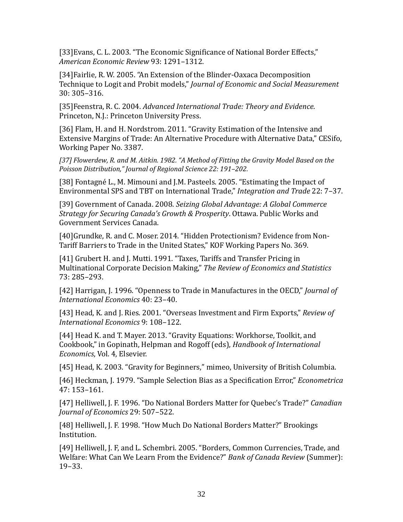[33] Evans, C. L. 2003. "The Economic Significance of National Border Effects," *American Economic Review* 93: 1291–1312.

[34]Fairlie, R. W. 2005. "An Extension of the Blinder-Oaxaca Decomposition Technique to Logit and Probit models," *Journal of Economic and Social Measurement* 30: 305–316.

[35]Feenstra, R. C. 2004. *Advanced International Trade: Theory and Evidence*. Princeton, N.J.: Princeton University Press.

[36] Flam, H. and H. Nordstrom. 2011. "Gravity Estimation of the Intensive and Extensive Margins of Trade: An Alternative Procedure with Alternative Data," CESifo, Working Paper No. 3387.

*[37] Flowerdew, R. and M. Aitkin. 1982. "A Method of Fitting the Gravity Model Based on the Poisson Distribution," Journal of Regional Science 22: 191–202.*

[38] Fontagné L., M. Mimouni and J.M. Pasteels. 2005. "Estimating the Impact of Environmental SPS and TBT on International Trade," *Integration and Trade* 22: 7–37.

[39] Government of Canada. 2008. *Seizing Global Advantage: A Global Commerce Strategy for Securing Canada's Growth & Prosperity*. Ottawa. Public Works and Government Services Canada.

[40]Grundke, R. and C. Moser. 2014. "Hidden Protectionism? Evidence from Non-Tariff Barriers to Trade in the United States," KOF Working Papers No. 369.

[41] Grubert H. and J. Mutti. 1991. "Taxes, Tariffs and Transfer Pricing in Multinational Corporate Decision Making," *The Review of Economics and Statistics* 73: 285–293.

[42] Harrigan, J. 1996. "Openness to Trade in Manufactures in the OECD," *Journal of International Economics* 40: 23–40.

[43] Head, K. and J. Ries. 2001. "Overseas Investment and Firm Exports," *Review of International Economics* 9: 108–122.

[44] Head K. and T. Mayer. 2013. "Gravity Equations: Workhorse, Toolkit, and Cookbook," in Gopinath, Helpman and Rogoff (eds), *Handbook of International Economics*, Vol. 4, Elsevier.

[45] Head, K. 2003. "Gravity for Beginners," mimeo, University of British Columbia.

[46] Heckman, J. 1979. "Sample Selection Bias as a Specification Error," *Econometrica*  47: 153–161.

[47] Helliwell, J. F. 1996. "Do National Borders Matter for Quebec's Trade?" *Canadian Journal of Economics* 29: 507–522.

[48] Helliwell, J. F. 1998. "How Much Do National Borders Matter?" Brookings Institution.

[49] Helliwell, J. F, and L. Schembri. 2005. "Borders, Common Currencies, Trade, and Welfare: What Can We Learn From the Evidence?" *Bank of Canada Review* (Summer): 19–33.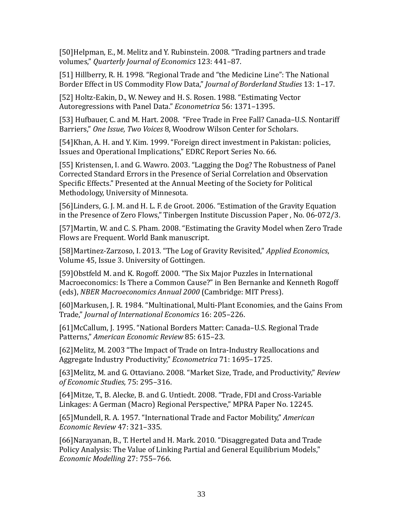[50]Helpman, E., M. Melitz and Y. Rubinstein. 2008. "Trading partners and trade volumes," *Quarterly Journal of Economics* 123: 441–87.

[51] Hillberry, R. H. 1998. "Regional Trade and "the Medicine Line": The National Border Effect in US Commodity Flow Data," *Journal of Borderland Studies* 13: 1–17.

[52] Holtz-Eakin, D., W. Newey and H. S. Rosen. 1988. "Estimating Vector Autoregressions with Panel Data." *Econometrica* 56: 1371–1395.

[53] Hufbauer, C. and M. Hart. 2008. "Free Trade in Free Fall? Canada–U.S. Nontariff Barriers," *One Issue, Two Voices* 8, Woodrow Wilson Center for Scholars.

[54]Khan, A. H. and Y. Kim. 1999. "Foreign direct investment in Pakistan: policies, Issues and Operational Implications," EDRC Report Series No. 66.

[55] Kristensen, I. and G. Wawro. 2003. "Lagging the Dog? The Robustness of Panel Corrected Standard Errors in the Presence of Serial Correlation and Observation Specific Effects." Presented at the Annual Meeting of the Society for Political Methodology, University of Minnesota.

[56]Linders, G. J. M. and H. L. F. de Groot. 2006. "Estimation of the Gravity Equation in the Presence of Zero Flows," Tinbergen Institute Discussion Paper , No. 06-072/3.

[57]Martin, W. and C. S. Pham. 2008. "Estimating the Gravity Model when Zero Trade Flows are Frequent. World Bank manuscript.

[58]Martinez-Zarzoso, I. 2013. "The Log of Gravity Revisited," *Applied Economics*, Volume 45, Issue 3. University of Gottingen.

[59]Obstfeld M. and K. Rogoff. 2000. "The Six Major Puzzles in International Macroeconomics: Is There a Common Cause?" in Ben Bernanke and Kenneth Rogoff (eds), *NBER Macroeconomics Annual 2000* (Cambridge: MIT Press).

[60]Markusen, J. R. 1984. "Multinational, Multi-Plant Economies, and the Gains From Trade," *Journal of International Economics* 16: 205–226.

[61]McCallum, J. 1995. "National Borders Matter: Canada–U.S. Regional Trade Patterns," *American Economic Review* 85: 615–23.

[62]Melitz, M. 2003 "The Impact of Trade on Intra-Industry Reallocations and Aggregate Industry Productivity," *Econometrica* 71: 1695–1725.

[63]Melitz, M. and G. Ottaviano. 2008. "Market Size, Trade, and Productivity," *Review of Economic Studies*, 75: 295–316.

[64]Mitze, T., B. Alecke, B. and G. Untiedt. 2008. "Trade, FDI and Cross-Variable Linkages: A German (Macro) Regional Perspective," MPRA Paper No. 12245.

[65]Mundell, R. A. 1957. "International Trade and Factor Mobility," *American Economic Review* 47: 321–335.

[66]Narayanan, B., T. Hertel and H. Mark. 2010. "Disaggregated Data and Trade Policy Analysis: The Value of Linking Partial and General Equilibrium Models," *Economic Modelling* 27: 755–766.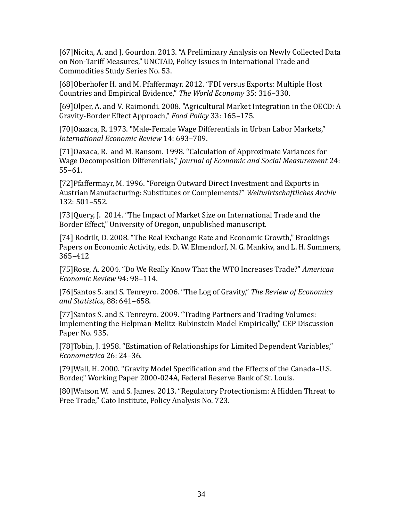[67]Nicita, A. and J. Gourdon. 2013. "A Preliminary Analysis on Newly Collected Data on Non-Tariff Measures," UNCTAD, Policy Issues in International Trade and Commodities Study Series No. 53.

[68]Oberhofer H. and M. Pfaffermayr. 2012. "FDI versus Exports: Multiple Host Countries and Empirical Evidence," *The World Economy* 35: 316–330.

[69]Olper, A. and V. Raimondi. 2008. "Agricultural Market Integration in the OECD: A Gravity-Border Effect Approach," *Food Policy* 33: 165–175.

[70]Oaxaca, R. 1973. "Male-Female Wage Differentials in Urban Labor Markets," *International Economic Review* 14: 693–709.

[71]Oaxaca, R. and M. Ransom. 1998. "Calculation of Approximate Variances for Wage Decomposition Differentials," *Journal of Economic and Social Measurement* 24: 55–61.

[72]Pfaffermayr, M. 1996. "Foreign Outward Direct Investment and Exports in Austrian Manufacturing: Substitutes or Complements?" *Weltwirtschaftliches Archiv* 132: 501–552.

[73]Query, J. 2014. "The Impact of Market Size on International Trade and the Border Effect," University of Oregon, unpublished manuscript.

[74] Rodrik, D. 2008. "The Real Exchange Rate and Economic Growth," Brookings Papers on Economic Activity, eds. D. W. Elmendorf, N. G. Mankiw, and L. H. Summers, 365–412

[75]Rose, A. 2004. "Do We Really Know That the WTO Increases Trade?" *American Economic Review* 94: 98–114.

[76]Santos S. and S. Tenreyro. 2006. "The Log of Gravity," *The Review of Economics and Statistics*, 88: 641–658.

[77]Santos S. and S. Tenreyro. 2009. "Trading Partners and Trading Volumes: Implementing the Helpman-Melitz-Rubinstein Model Empirically," CEP Discussion Paper No. 935.

[78]Tobin, J. 1958. "Estimation of Relationships for Limited Dependent Variables," *Econometrica* 26: 24–36.

[79]Wall, H. 2000. "Gravity Model Specification and the Effects of the Canada–U.S. Border," Working Paper 2000-024A, Federal Reserve Bank of St. Louis.

[80]Watson W. and S. James. 2013. "Regulatory Protectionism: A Hidden Threat to Free Trade," Cato Institute, Policy Analysis No. 723.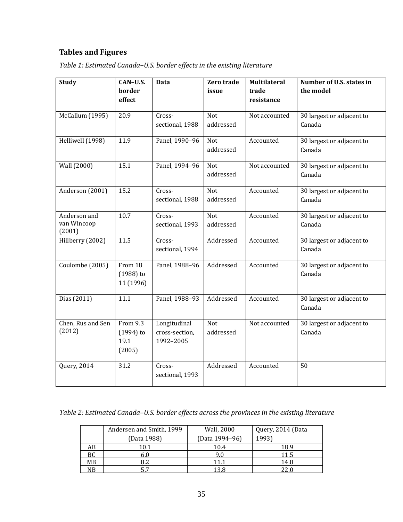### **Tables and Figures**

| <b>Study</b>                          | CAN-U.S.<br>border<br>effect              | <b>Data</b>                                 | Zero trade<br>issue     | <b>Multilateral</b><br>trade<br>resistance | Number of U.S. states in<br>the model |
|---------------------------------------|-------------------------------------------|---------------------------------------------|-------------------------|--------------------------------------------|---------------------------------------|
| McCallum (1995)                       | 20.9                                      | Cross-<br>sectional, 1988                   | <b>Not</b><br>addressed | Not accounted                              | 30 largest or adjacent to<br>Canada   |
| Helliwell (1998)                      | 11.9                                      | Panel, 1990-96                              | Not<br>addressed        | Accounted                                  | 30 largest or adjacent to<br>Canada   |
| Wall (2000)                           | 15.1                                      | Panel, 1994-96                              | <b>Not</b><br>addressed | Not accounted                              | 30 largest or adjacent to<br>Canada   |
| Anderson (2001)                       | 15.2                                      | Cross-<br>sectional, 1988                   | Not<br>addressed        | Accounted                                  | 30 largest or adjacent to<br>Canada   |
| Anderson and<br>van Wincoop<br>(2001) | 10.7                                      | Cross-<br>sectional, 1993                   | <b>Not</b><br>addressed | Accounted                                  | 30 largest or adjacent to<br>Canada   |
| Hillberry (2002)                      | 11.5                                      | Cross-<br>sectional, 1994                   | Addressed               | Accounted                                  | 30 largest or adjacent to<br>Canada   |
| Coulombe (2005)                       | From 18<br>$(1988)$ to<br>11 (1996)       | Panel, 1988-96                              | Addressed               | Accounted                                  | 30 largest or adjacent to<br>Canada   |
| Dias (2011)                           | 11.1                                      | Panel, 1988-93                              | Addressed               | Accounted                                  | 30 largest or adjacent to<br>Canada   |
| Chen, Rus and Sen<br>(2012)           | From 9.3<br>$(1994)$ to<br>19.1<br>(2005) | Longitudinal<br>cross-section,<br>1992-2005 | <b>Not</b><br>addressed | Not accounted                              | 30 largest or adjacent to<br>Canada   |
| Query, 2014                           | 31.2                                      | Cross-<br>sectional, 1993                   | Addressed               | Accounted                                  | 50                                    |

*Table 1: Estimated Canada–U.S. border effects in the existing literature* 

*Table 2: Estimated Canada–U.S. border effects across the provinces in the existing literature*

|    | Andersen and Smith, 1999 | Wall, 2000     | Query, 2014 (Data |
|----|--------------------------|----------------|-------------------|
|    | (Data 1988)              | (Data 1994-96) | 1993)             |
| AB | 10.1                     | 10.4           | 18.9              |
| BC | 6.0                      | 9.0            | 11.5              |
| MВ | 8.2                      | 11.1           | 14.8              |
| NΒ |                          | 13.8           | 22.0              |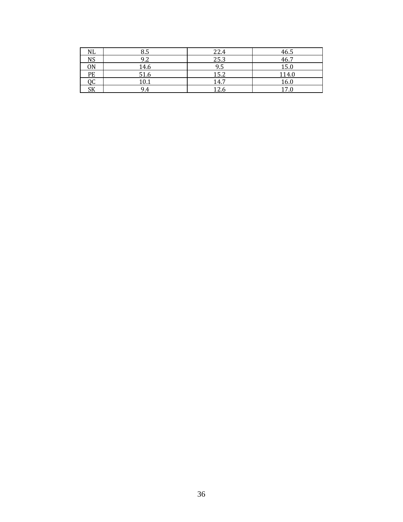| <u>NL</u>              | 8.5  | 22.4 | 46.5  |
|------------------------|------|------|-------|
| $\overline{\text{NS}}$ | 9.2  | 25.3 | 46.7  |
| $\overline{ON}$        | 14.6 | 9.5  | 15.0  |
| PE                     | 51.6 | 15.2 | 114.0 |
| ŰС                     | 10.1 | 14.7 | 16.0  |
| SK                     | 9.4  | 12.6 | 170   |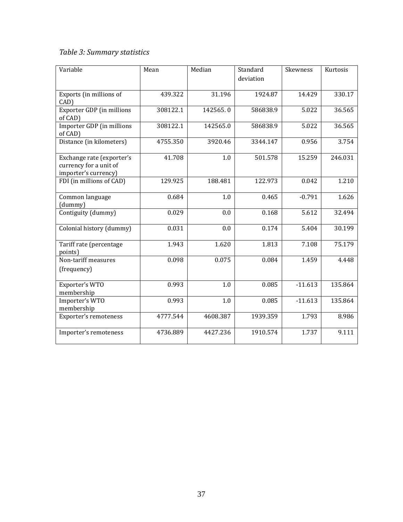### *Table 3: Summary statistics*

| Variable<br>Mean                                                            |          | Median<br>Standard<br>deviation |          | Skewness  | Kurtosis |
|-----------------------------------------------------------------------------|----------|---------------------------------|----------|-----------|----------|
|                                                                             |          |                                 |          |           |          |
| Exports (in millions of<br>CAD)                                             | 439.322  | 31.196                          | 1924.87  | 14.429    | 330.17   |
| Exporter GDP (in millions<br>of CAD)                                        | 308122.1 | 142565.0                        | 586838.9 | 5.022     | 36.565   |
| Importer GDP (in millions<br>of CAD)                                        | 308122.1 | 142565.0                        | 586838.9 | 5.022     | 36.565   |
| Distance (in kilometers)                                                    | 4755.350 | 3920.46                         | 3344.147 | 0.956     | 3.754    |
| Exchange rate (exporter's<br>currency for a unit of<br>importer's currency) | 41.708   | 1.0                             | 501.578  | 15.259    | 246.031  |
| FDI (in millions of CAD)                                                    | 129.925  | 188.481                         | 122.973  | 0.042     | 1.210    |
| Common language<br>(dummy)                                                  | 0.684    | 1.0                             | 0.465    | $-0.791$  | 1.626    |
| Contiguity (dummy)                                                          | 0.029    | 0.0                             | 0.168    | 5.612     | 32.494   |
| Colonial history (dummy)                                                    | 0.031    | 0.0                             | 0.174    | 5.404     | 30.199   |
| Tariff rate (percentage<br>points)                                          | 1.943    | 1.620                           | 1.813    | 7.108     | 75.179   |
| Non-tariff measures<br>(frequency)                                          | 0.098    | 0.075                           | 0.084    | 1.459     | 4.448    |
| Exporter's WTO<br>membership                                                | 0.993    | 1.0                             | 0.085    | $-11.613$ | 135.864  |
| Importer's WTO<br>membership                                                | 0.993    | 1.0                             | 0.085    | $-11.613$ | 135.864  |
| Exporter's remoteness                                                       | 4777.544 | 4608.387                        | 1939.359 | 1.793     | 8.986    |
| Importer's remoteness                                                       | 4736.889 | 4427.236                        | 1910.574 | 1.737     | 9.111    |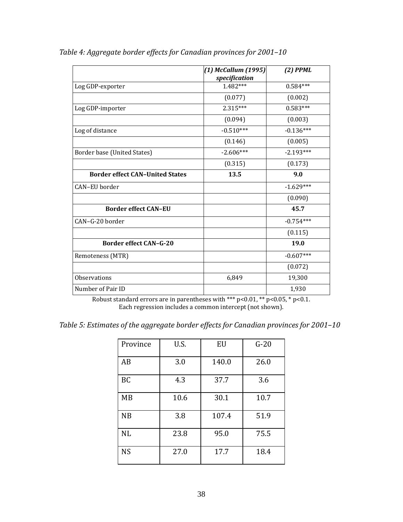|                                        | $(1)$ McCallum $(1995)$<br>specification | $(2)$ PPML  |
|----------------------------------------|------------------------------------------|-------------|
| Log GDP-exporter                       | 1.482***                                 | $0.584***$  |
|                                        | (0.077)                                  | (0.002)     |
| Log GDP-importer                       | $2.315***$                               | $0.583***$  |
|                                        | (0.094)                                  | (0.003)     |
| Log of distance                        | $-0.510***$                              | $-0.136***$ |
|                                        | (0.146)                                  | (0.005)     |
| Border base (United States)            | $-2.606***$                              | $-2.193***$ |
|                                        | (0.315)                                  | (0.173)     |
| <b>Border effect CAN-United States</b> | 13.5                                     | 9.0         |
| CAN-EU border                          |                                          | $-1.629***$ |
|                                        |                                          | (0.090)     |
| <b>Border effect CAN-EU</b>            |                                          | 45.7        |
| CAN-G-20 border                        |                                          | $-0.754***$ |
|                                        |                                          | (0.115)     |
| <b>Border effect CAN-G-20</b>          |                                          | 19.0        |
| Remoteness (MTR)                       |                                          | $-0.607***$ |
|                                        |                                          | (0.072)     |
| <b>Observations</b>                    | 6,849                                    | 19,300      |
| Number of Pair ID                      |                                          | 1,930       |

*Table 4: Aggregate border effects for Canadian provinces for 2001–10*

Robust standard errors are in parentheses with \*\*\* p<0.01, \*\* p<0.05, \* p<0.1. Each regression includes a common intercept (not shown).

| Table 5: Estimates of the aggregate border effects for Canadian provinces for 2001-10 |  |
|---------------------------------------------------------------------------------------|--|
|---------------------------------------------------------------------------------------|--|

| Province  | U.S. | EU    | $G-20$ |
|-----------|------|-------|--------|
| AB        | 3.0  | 140.0 | 26.0   |
| <b>BC</b> | 4.3  | 37.7  | 3.6    |
| MB        | 10.6 | 30.1  | 10.7   |
| NB        | 3.8  | 107.4 | 51.9   |
| NL        | 23.8 | 95.0  | 75.5   |
| <b>NS</b> | 27.0 | 17.7  | 18.4   |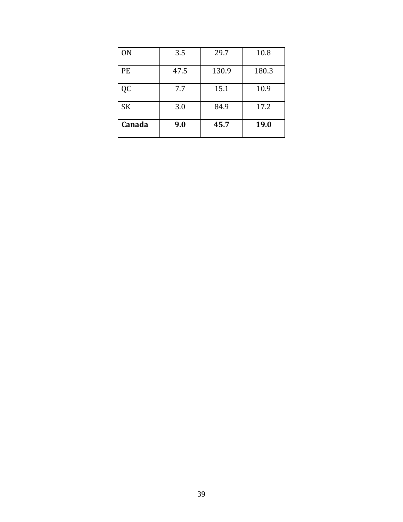| <b>ON</b> | 3.5  | 29.7  | 10.8  |
|-----------|------|-------|-------|
| PE        | 47.5 | 130.9 | 180.3 |
| QC        | 7.7  | 15.1  | 10.9  |
| <b>SK</b> | 3.0  | 84.9  | 17.2  |
| Canada    | 9.0  | 45.7  | 19.0  |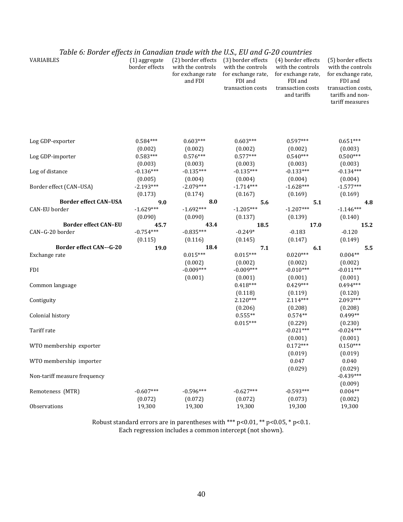| VARIABLES                      | $(1)$ aggregate<br>border effects | (2) border effects<br>with the controls<br>for exchange rate<br>and FDI | (3) border effects<br>with the controls<br>for exchange rate,<br>FDI and<br>transaction costs | (4) border effects<br>with the controls<br>for exchange rate,<br>FDI and<br>transaction costs<br>and tariffs | (5) border effects<br>with the controls<br>for exchange rate,<br>FDI and<br>transaction costs,<br>tariffs and non-<br>tariff measures |
|--------------------------------|-----------------------------------|-------------------------------------------------------------------------|-----------------------------------------------------------------------------------------------|--------------------------------------------------------------------------------------------------------------|---------------------------------------------------------------------------------------------------------------------------------------|
|                                |                                   |                                                                         |                                                                                               |                                                                                                              |                                                                                                                                       |
| Log GDP-exporter               | $0.584***$<br>(0.002)             | $0.603***$<br>(0.002)                                                   | $0.603***$<br>(0.002)                                                                         | $0.597***$<br>(0.002)                                                                                        | $0.651***$<br>(0.003)                                                                                                                 |
| Log GDP-importer               | $0.583***$<br>(0.003)             | $0.576***$<br>(0.003)                                                   | $0.577***$<br>(0.003)                                                                         | $0.540***$<br>(0.003)                                                                                        | $0.500***$<br>(0.003)                                                                                                                 |
| Log of distance                | $-0.136***$<br>(0.005)            | $-0.135***$<br>(0.004)                                                  | $-0.135***$<br>(0.004)                                                                        | $-0.133***$<br>(0.004)                                                                                       | $-0.134***$<br>(0.004)                                                                                                                |
| Border effect (CAN-USA)        | $-2.193***$<br>(0.173)            | $-2.079***$<br>(0.174)                                                  | $-1.714***$<br>(0.167)                                                                        | $-1.628***$<br>(0.169)                                                                                       | $-1.577***$<br>(0.169)                                                                                                                |
| <b>Border effect CAN-USA</b>   | 9.0                               | 8.0                                                                     | 5.6                                                                                           | 5.1                                                                                                          | 4.8                                                                                                                                   |
| <b>CAN-EU</b> border           | $-1.629***$<br>(0.090)            | $-1.692***$<br>(0.090)                                                  | $-1.205***$<br>(0.137)                                                                        | $-1.207***$<br>(0.139)                                                                                       | $-1.146***$<br>(0.140)                                                                                                                |
| <b>Border effect CAN-EU</b>    | 45.7                              | 43.4                                                                    | 18.5                                                                                          | 17.0                                                                                                         | 15.2                                                                                                                                  |
| CAN-G-20 border                | $-0.754***$<br>(0.115)            | $-0.835***$<br>(0.116)                                                  | $-0.249*$<br>(0.145)                                                                          | $-0.183$<br>(0.147)                                                                                          | $-0.120$<br>(0.149)                                                                                                                   |
| <b>Border effect CAN--G-20</b> | 19.0                              | 18.4                                                                    | 7.1                                                                                           | 6.1                                                                                                          | 5.5                                                                                                                                   |
| Exchange rate                  |                                   | $0.015***$                                                              | $0.015***$                                                                                    | $0.020***$                                                                                                   | $0.004**$                                                                                                                             |
|                                |                                   | (0.002)                                                                 | (0.002)                                                                                       | (0.002)                                                                                                      | (0.002)                                                                                                                               |
| <b>FDI</b>                     |                                   | $-0.009***$<br>(0.001)                                                  | $-0.009***$                                                                                   | $-0.010***$                                                                                                  | $-0.011***$                                                                                                                           |
| Common language                |                                   |                                                                         | (0.001)<br>$0.418***$                                                                         | (0.001)<br>$0.429***$                                                                                        | (0.001)<br>$0.494***$                                                                                                                 |
| Contiguity                     |                                   |                                                                         | (0.118)<br>$2.120***$                                                                         | (0.119)<br>$2.114***$                                                                                        | (0.120)<br>2.093***                                                                                                                   |
| Colonial history               |                                   |                                                                         | (0.206)<br>$0.555**$                                                                          | (0.208)<br>$0.574**$                                                                                         | (0.208)<br>$0.499**$                                                                                                                  |
| Tariff rate                    |                                   |                                                                         | $0.015***$                                                                                    | (0.229)<br>$-0.021***$                                                                                       | (0.230)<br>$-0.024***$                                                                                                                |
| WTO membership exporter        |                                   |                                                                         |                                                                                               | (0.001)<br>$0.172***$                                                                                        | (0.001)<br>$0.150***$                                                                                                                 |
| WTO membership importer        |                                   |                                                                         |                                                                                               | (0.019)<br>0.047                                                                                             | (0.019)<br>0.040                                                                                                                      |
| Non-tariff measure frequency   |                                   |                                                                         |                                                                                               | (0.029)                                                                                                      | (0.029)<br>$-0.439***$                                                                                                                |
| Remoteness (MTR)               | $-0.607***$<br>(0.072)            | $-0.596***$                                                             | $-0.627***$<br>(0.072)                                                                        | $-0.593***$                                                                                                  | (0.009)<br>$0.004**$                                                                                                                  |
| Observations                   | 19,300                            | (0.072)<br>19,300                                                       | 19,300                                                                                        | (0.073)<br>19,300                                                                                            | (0.002)<br>19,300                                                                                                                     |

*Table 6: Border effects in Canadian trade with the U.S., EU and G-20 countries*

Robust standard errors are in parentheses with \*\*\* p<0.01, \*\* p<0.05, \* p<0.1. Each regression includes a common intercept (not shown).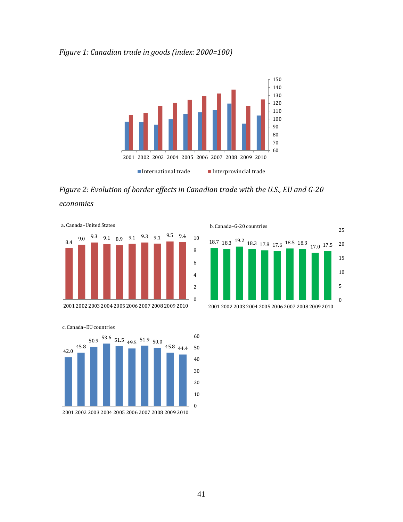



*Figure 2: Evolution of border effects in Canadian trade with the U.S., EU and G-20 economies*





c. Canada–EU countries



2002 2003 2004 2005 2006 2007 2008 2009 2010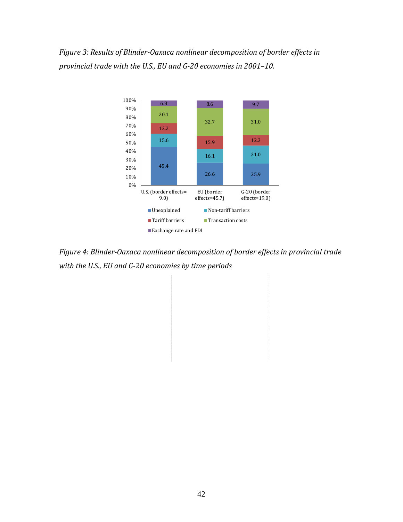*Figure 3: Results of Blinder-Oaxaca nonlinear decomposition of border effects in provincial trade with the U.S., EU and G-20 economies in 2001–10.*



*Figure 4: Blinder-Oaxaca nonlinear decomposition of border effects in provincial trade with the U.S., EU and G-20 economies by time periods*

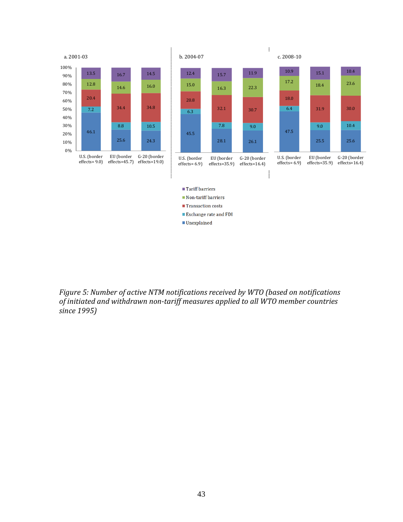

*Figure 5: Number of active NTM notifications received by WTO (based on notifications of initiated and withdrawn non-tariff measures applied to all WTO member countries since 1995)*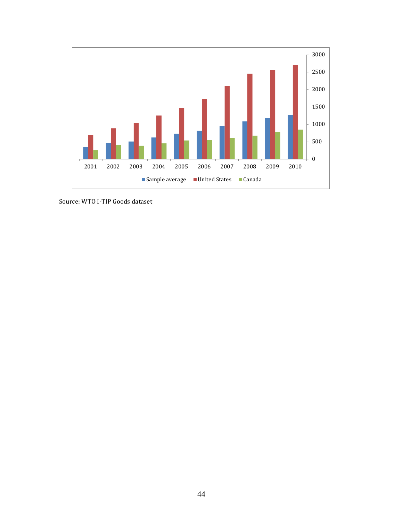

Source: WTO I-TIP Goods dataset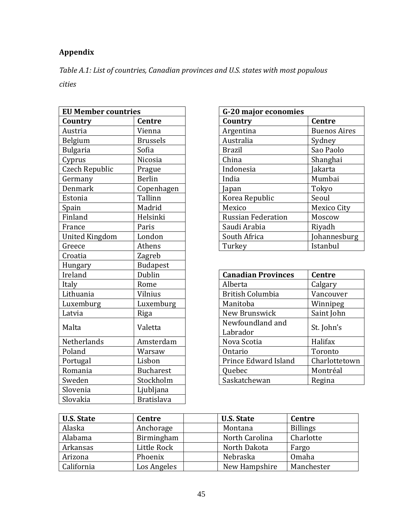## **Appendix**

*Table A.1: List of countries, Canadian provinces and U.S. states with most populous cities* 

| <b>EU Member countries</b> |                   | G-20 major economies      |                 |
|----------------------------|-------------------|---------------------------|-----------------|
| Country                    | <b>Centre</b>     | Country                   | <b>Centre</b>   |
| Austria                    | Vienna            | Argentina                 | <b>Buenos A</b> |
| Belgium                    | <b>Brussels</b>   | Australia                 | Sydney          |
| <b>Bulgaria</b>            | Sofia             | <b>Brazil</b>             | Sao Paolo       |
| Cyprus                     | Nicosia           | China                     | Shanghai        |
| Czech Republic             | Prague            | Indonesia                 | Jakarta         |
| Germany                    | <b>Berlin</b>     | India                     | Mumbai          |
| Denmark                    | Copenhagen        | Japan                     | Tokyo           |
| Estonia                    | Tallinn           | Korea Republic            | Seoul           |
| Spain                      | Madrid            | Mexico                    | Mexico C        |
| Finland                    | Helsinki          | <b>Russian Federation</b> | Moscow          |
| France                     | Paris             | Saudi Arabia              | Riyadh          |
| <b>United Kingdom</b>      | London            | South Africa              | <b>Johannes</b> |
| Greece                     | Athens            | Turkey                    | Istanbul        |
| Croatia                    | Zagreb            |                           |                 |
| Hungary                    | <b>Budapest</b>   |                           |                 |
| Ireland                    | Dublin            | <b>Canadian Provinces</b> | <b>Centre</b>   |
| Italy                      | Rome              | Alberta                   | Calgary         |
| Lithuania                  | Vilnius           | <b>British Columbia</b>   | Vancouve        |
| Luxemburg                  | Luxemburg         | Manitoba                  | Winnipeg        |
| Latvia                     | Riga              | New Brunswick             | Saint Joh       |
| Malta                      | Valetta           | Newfoundland and          | St. John's      |
|                            |                   | Labrador                  |                 |
| Netherlands                | Amsterdam         | Nova Scotia               | Halifax         |
| Poland                     | Warsaw            | Ontario                   | Toronto         |
| Portugal                   | Lisbon            | Prince Edward Island      | Charlotte       |
| Romania                    | <b>Bucharest</b>  | Quebec                    | Montréal        |
| Sweden                     | Stockholm         | Saskatchewan              | Regina          |
| Slovenia                   | Ljubljana         |                           |                 |
| Slovakia                   | <b>Bratislava</b> |                           |                 |

| <b>EU Member countries</b> |                 | <b>G-20 major economies</b> |                     |
|----------------------------|-----------------|-----------------------------|---------------------|
| Country                    | <b>Centre</b>   | Country                     | <b>Centre</b>       |
| Austria                    | Vienna          | Argentina                   | <b>Buenos Aires</b> |
| Belgium                    | <b>Brussels</b> | Australia                   | Sydney              |
| <b>Bulgaria</b>            | Sofia           | <b>Brazil</b>               | Sao Paolo           |
| Cyprus                     | Nicosia         | China                       | Shanghai            |
| Czech Republic             | Prague          | Indonesia                   | Jakarta             |
| Germany                    | <b>Berlin</b>   | India                       | Mumbai              |
| <b>Denmark</b>             | Copenhagen      | Japan                       | Tokyo               |
| Estonia                    | Tallinn         | Korea Republic              | Seoul               |
| Spain                      | Madrid          | Mexico                      | Mexico City         |
| Finland                    | Helsinki        | <b>Russian Federation</b>   | Moscow              |
| France                     | Paris           | Saudi Arabia                | Riyadh              |
| <b>United Kingdom</b>      | London          | South Africa                | Johannesburg        |
| Greece                     | Athens          | Turkey                      | Istanbul            |

| -----o--- <i>,</i> |                  |                           |               |
|--------------------|------------------|---------------------------|---------------|
| Ireland            | Dublin           | <b>Canadian Provinces</b> | <b>Centre</b> |
| Italy              | Rome             | Alberta                   | Calgary       |
| Lithuania          | Vilnius          | <b>British Columbia</b>   | Vancouver     |
| Luxemburg          | Luxemburg        | Manitoba                  | Winnipeg      |
| Latvia             | Riga             | New Brunswick             | Saint John    |
| Malta              | Valetta          | Newfoundland and          | St. John's    |
|                    |                  | Labrador                  |               |
| Netherlands        | Amsterdam        | Nova Scotia               | Halifax       |
| Poland             | Warsaw           | Ontario                   | Toronto       |
| Portugal           | Lisbon           | Prince Edward Island      | Charlottetown |
| Romania            | <b>Bucharest</b> | Quebec                    | Montréal      |
| Sweden             | Stockholm        | Saskatchewan              | Regina        |

| <b>U.S. State</b> | <b>Centre</b> | <b>U.S. State</b> | <b>Centre</b>   |
|-------------------|---------------|-------------------|-----------------|
| Alaska            | Anchorage     | Montana           | <b>Billings</b> |
| Alabama           | Birmingham    | North Carolina    | Charlotte       |
| Arkansas          | Little Rock   | North Dakota      | Fargo           |
| Arizona           | Phoenix       | Nebraska          | Omaha           |
| California        | Los Angeles   | New Hampshire     | Manchester      |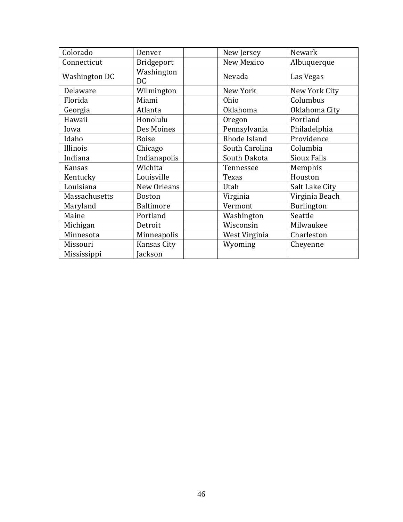| Colorado             | Denver            | New Jersey      | Newark             |
|----------------------|-------------------|-----------------|--------------------|
| Connecticut          | <b>Bridgeport</b> | New Mexico      | Albuquerque        |
| <b>Washington DC</b> | Washington<br>DC  | Nevada          | Las Vegas          |
| Delaware             | Wilmington        | New York        | New York City      |
| Florida              | Miami             | Ohio            | Columbus           |
| Georgia              | Atlanta           | <b>Oklahoma</b> | Oklahoma City      |
| Hawaii               | Honolulu          | Oregon          | Portland           |
| Iowa                 | Des Moines        | Pennsylvania    | Philadelphia       |
| Idaho                | <b>Boise</b>      | Rhode Island    | Providence         |
| Illinois             | Chicago           | South Carolina  | Columbia           |
| Indiana              | Indianapolis      | South Dakota    | <b>Sioux Falls</b> |
| <b>Kansas</b>        | Wichita           | Tennessee       | Memphis            |
| Kentucky             | Louisville        | Texas           | Houston            |
| Louisiana            | New Orleans       | Utah            | Salt Lake City     |
| Massachusetts        | <b>Boston</b>     | Virginia        | Virginia Beach     |
| Maryland             | <b>Baltimore</b>  | Vermont         | Burlington         |
| Maine                | Portland          | Washington      | Seattle            |
| Michigan             | Detroit           | Wisconsin       | Milwaukee          |
| Minnesota            | Minneapolis       | West Virginia   | Charleston         |
| Missouri             | Kansas City       | Wyoming         | Cheyenne           |
| Mississippi          | <b>Jackson</b>    |                 |                    |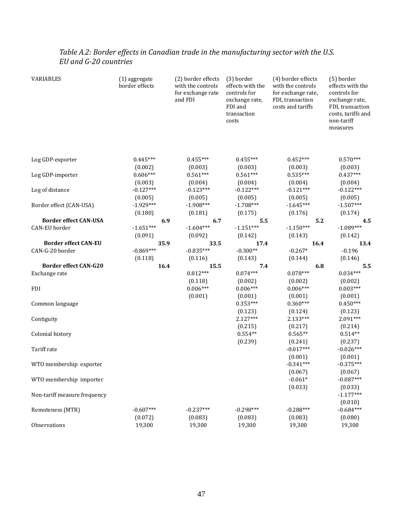| VARIABLES                    | (1) aggregate<br>border effects | (2) border effects<br>with the controls<br>for exchange rate<br>and FDI | (3) border<br>effects with the<br>controls for<br>exchange rate,<br>FDI and<br>transaction<br>costs | (4) border effects<br>with the controls<br>for exchange rate,<br>FDI, transaction<br>costs and tariffs | (5) border<br>effects with the<br>controls for<br>exchange rate,<br>FDI, transaction<br>costs, tariffs and<br>non-tariff<br>measures |
|------------------------------|---------------------------------|-------------------------------------------------------------------------|-----------------------------------------------------------------------------------------------------|--------------------------------------------------------------------------------------------------------|--------------------------------------------------------------------------------------------------------------------------------------|
|                              | $0.445***$                      | $0.455***$                                                              | $0.455***$                                                                                          | $0.452***$                                                                                             | $0.570***$                                                                                                                           |
| Log GDP-exporter             | (0.002)                         | (0.003)                                                                 | (0.003)                                                                                             | (0.003)                                                                                                | (0.003)                                                                                                                              |
| Log GDP-importer             | $0.606***$<br>(0.003)           | $0.561***$<br>(0.004)                                                   | $0.561***$<br>(0.004)                                                                               | $0.535***$<br>(0.004)                                                                                  | $0.437***$<br>(0.004)                                                                                                                |
| Log of distance              | $-0.127***$<br>(0.005)          | $-0.123***$<br>(0.005)                                                  | $-0.122***$<br>(0.005)                                                                              | $-0.121***$<br>(0.005)                                                                                 | $-0.122***$<br>(0.005)                                                                                                               |
| Border effect (CAN-USA)      | $-1.929***$<br>(0.180)          | $-1.908***$<br>(0.181)                                                  | $-1.708***$<br>(0.175)                                                                              | $-1.645***$<br>(0.176)                                                                                 | $-1.507***$<br>(0.174)                                                                                                               |
| <b>Border effect CAN-USA</b> | 6.9                             | 6.7                                                                     | 5.5                                                                                                 | 5.2                                                                                                    | 4.5                                                                                                                                  |
| CAN-EU border                | $-1.651***$<br>(0.091)          | $-1.604***$<br>(0.092)                                                  | $-1.151***$<br>(0.142)                                                                              | $-1.150***$<br>(0.143)                                                                                 | $-1.089***$<br>(0.142)                                                                                                               |
| <b>Border effect CAN-EU</b>  | 35.9                            | 33.5                                                                    | 17.4                                                                                                | 16.4                                                                                                   | 13.4                                                                                                                                 |
| CAN-G-20 border              | $-0.869***$                     | $-0.835***$                                                             | $-0.300**$                                                                                          | $-0.267*$                                                                                              | $-0.196$                                                                                                                             |
|                              | (0.118)                         | (0.116)                                                                 | (0.143)                                                                                             | (0.144)                                                                                                | (0.146)                                                                                                                              |
| <b>Border effect CAN-G20</b> | 16.4                            | 15.5                                                                    | 7.4                                                                                                 | 6.8                                                                                                    | 5.5                                                                                                                                  |
| Exchange rate                |                                 | $0.812***$                                                              | $0.074***$                                                                                          | $0.078***$                                                                                             | $0.034***$                                                                                                                           |
| <b>FDI</b>                   |                                 | (0.118)<br>$0.006***$<br>(0.001)                                        | (0.002)<br>$0.006***$<br>(0.001)                                                                    | (0.002)<br>$0.006***$<br>(0.001)                                                                       | (0.002)<br>$0.003***$<br>(0.001)                                                                                                     |
| Common language              |                                 |                                                                         | $0.353***$<br>(0.123)                                                                               | $0.360***$<br>(0.124)                                                                                  | $0.450***$<br>(0.123)                                                                                                                |
| Contiguity                   |                                 |                                                                         | 2.127***<br>(0.215)                                                                                 | 2.133***<br>(0.217)                                                                                    | 2.091***<br>(0.214)                                                                                                                  |
| Colonial history             |                                 |                                                                         | $0.554**$<br>(0.239)                                                                                | $0.565**$<br>(0.241)                                                                                   | $0.514**$<br>(0.237)                                                                                                                 |
| Tariff rate                  |                                 |                                                                         |                                                                                                     | $-0.017***$<br>(0.001)                                                                                 | $-0.026***$<br>(0.001)                                                                                                               |
| WTO membership exporter      |                                 |                                                                         |                                                                                                     | $-0.341***$<br>(0.067)                                                                                 | $-0.375***$<br>(0.067)                                                                                                               |
| WTO membership importer      |                                 |                                                                         |                                                                                                     | $-0.061*$<br>(0.033)                                                                                   | $-0.087***$<br>(0.033)                                                                                                               |
| Non-tariff measure frequency |                                 |                                                                         |                                                                                                     |                                                                                                        | $-1.177***$<br>(0.010)                                                                                                               |
| Remoteness (MTR)             | $-0.607***$<br>(0.072)          | $-0.237***$<br>(0.083)                                                  | $-0.298***$<br>(0.083)                                                                              | $-0.288***$<br>(0.083)                                                                                 | $-0.684***$<br>(0.080)                                                                                                               |
| Observations                 | 19,300                          | 19,300                                                                  | 19,300                                                                                              | 19,300                                                                                                 | 19,300                                                                                                                               |

#### *Table A.2: Border effects in Canadian trade in the manufacturing sector with the U.S. EU and G-20 countries*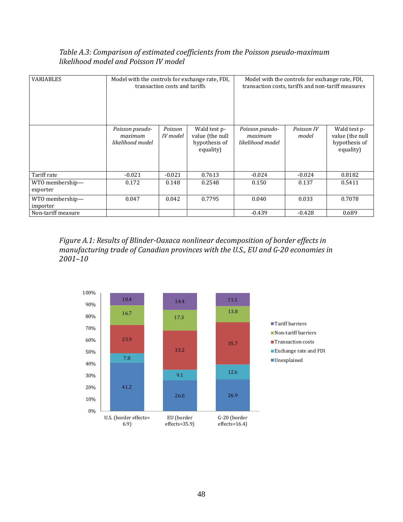#### *Table A.3: Comparison of estimated coefficients from the Poisson pseudo-maximum likelihood model and Poisson IV model*

| <b>VARIABLES</b>            | Model with the controls for exchange rate, FDI,<br>transaction costs and tariffs |                     |                                                               | transaction costs, tariffs and non-tariff measures | Model with the controls for exchange rate, FDI, |                                                               |
|-----------------------------|----------------------------------------------------------------------------------|---------------------|---------------------------------------------------------------|----------------------------------------------------|-------------------------------------------------|---------------------------------------------------------------|
|                             | Poisson pseudo-<br>maximum<br>likelihood model                                   | Poisson<br>IV model | Wald test p-<br>value (the null<br>hypothesis of<br>equality) | Poisson pseudo-<br>maximum<br>likelihood model     | Poisson IV<br>model                             | Wald test p-<br>value (the null<br>hypothesis of<br>equality) |
| Tariff rate                 | $-0.021$                                                                         | $-0.021$            | 0.7613                                                        | $-0.024$                                           | $-0.024$                                        | 0.8182                                                        |
| WTO membership-<br>exporter | 0.172                                                                            | 0.148               | 0.2548                                                        | 0.150                                              | 0.137                                           | 0.5411                                                        |
| WTO membership-<br>importer | 0.047                                                                            | 0.042               | 0.7795                                                        | 0.040                                              | 0.033                                           | 0.7078                                                        |
| Non-tariff measure          |                                                                                  |                     |                                                               | $-0.439$                                           | $-0.428$                                        | 0.689                                                         |

*Figure A.1: Results of Blinder-Oaxaca nonlinear decomposition of border effects in manufacturing trade of Canadian provinces with the U.S., EU and G-20 economies in 2001–10*

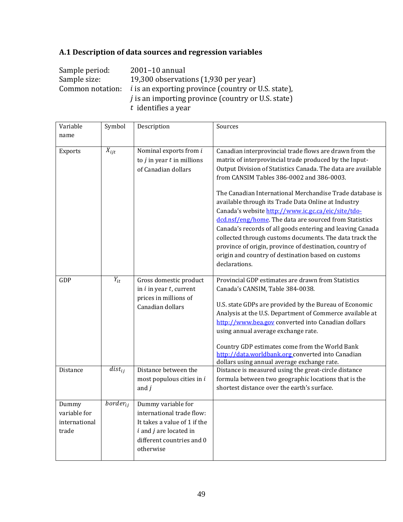## **A.1 Description of data sources and regression variables**

| Sample period:   | $2001-10$ annual                                                     |
|------------------|----------------------------------------------------------------------|
| Sample size:     | 19,300 observations (1,930 per year)                                 |
| Common notation: | $i$ is an exporting province (country or U.S. state),                |
|                  | $\dot{\mathcal{J}}$ is an importing province (country or U.S. state) |
|                  | $t$ identifies a year                                                |

| Variable<br>name                                | Symbol        | Description                                                                                                                                             | Sources                                                                                                                                                                                                                                                                                                                                                                                                                                                                                                                                                                                                                                                                                                                     |
|-------------------------------------------------|---------------|---------------------------------------------------------------------------------------------------------------------------------------------------------|-----------------------------------------------------------------------------------------------------------------------------------------------------------------------------------------------------------------------------------------------------------------------------------------------------------------------------------------------------------------------------------------------------------------------------------------------------------------------------------------------------------------------------------------------------------------------------------------------------------------------------------------------------------------------------------------------------------------------------|
| <b>Exports</b>                                  | $X_{ijt}$     | Nominal exports from $i$<br>to $j$ in year $t$ in millions<br>of Canadian dollars                                                                       | Canadian interprovincial trade flows are drawn from the<br>matrix of interprovincial trade produced by the Input-<br>Output Division of Statistics Canada. The data are available<br>from CANSIM Tables 386-0002 and 386-0003.<br>The Canadian International Merchandise Trade database is<br>available through its Trade Data Online at Industry<br>Canada's website http://www.ic.gc.ca/eic/site/tdo-<br>dcd.nsf/eng/home. The data are sourced from Statistics<br>Canada's records of all goods entering and leaving Canada<br>collected through customs documents. The data track the<br>province of origin, province of destination, country of<br>origin and country of destination based on customs<br>declarations. |
| GDP                                             | $Y_{it}$      | Gross domestic product<br>in $i$ in year $t$ , current<br>prices in millions of<br>Canadian dollars                                                     | Provincial GDP estimates are drawn from Statistics<br>Canada's CANSIM, Table 384-0038.<br>U.S. state GDPs are provided by the Bureau of Economic<br>Analysis at the U.S. Department of Commerce available at<br>http://www.bea.gov converted into Canadian dollars<br>using annual average exchange rate.<br>Country GDP estimates come from the World Bank<br>http://data.worldbank.org converted into Canadian<br>dollars using annual average exchange rate.                                                                                                                                                                                                                                                             |
| Distance                                        | $dist_{ii}$   | Distance between the<br>most populous cities in $i$<br>and $j$                                                                                          | Distance is measured using the great-circle distance<br>formula between two geographic locations that is the<br>shortest distance over the earth's surface.                                                                                                                                                                                                                                                                                                                                                                                                                                                                                                                                                                 |
| Dummy<br>variable for<br>international<br>trade | $border_{ij}$ | Dummy variable for<br>international trade flow:<br>It takes a value of 1 if the<br>$i$ and $j$ are located in<br>different countries and 0<br>otherwise |                                                                                                                                                                                                                                                                                                                                                                                                                                                                                                                                                                                                                                                                                                                             |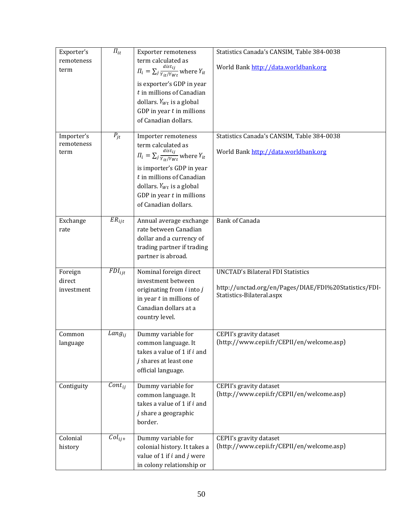| Exporter's | $\Pi_{it}$             | <b>Exporter remoteness</b>                                      | Statistics Canada's CANSIM, Table 384-0038                            |
|------------|------------------------|-----------------------------------------------------------------|-----------------------------------------------------------------------|
| remoteness |                        | term calculated as                                              |                                                                       |
| term       |                        | $\Pi_i = \sum_j \frac{dist_{ij}}{Y_{it}/Y_{Wt}}$ where $Y_{it}$ | World Bank http://data.worldbank.org                                  |
|            |                        | is exporter's GDP in year                                       |                                                                       |
|            |                        | $t$ in millions of Canadian                                     |                                                                       |
|            |                        | dollars. $Y_{Wt}$ is a global                                   |                                                                       |
|            |                        | GDP in year $t$ in millions                                     |                                                                       |
|            |                        | of Canadian dollars.                                            |                                                                       |
|            |                        |                                                                 |                                                                       |
| Importer's | $P_{jt}$               | Importer remoteness                                             | Statistics Canada's CANSIM, Table 384-0038                            |
| remoteness |                        | term calculated as                                              |                                                                       |
| term       |                        | $\Pi_i = \sum_j \frac{dist_{ij}}{Y_{it}/Y_{Wt}}$ where $Y_{it}$ | World Bank http://data.worldbank.org                                  |
|            |                        | is importer's GDP in year                                       |                                                                       |
|            |                        | $t$ in millions of Canadian                                     |                                                                       |
|            |                        | dollars. $Y_{Wt}$ is a global                                   |                                                                       |
|            |                        | GDP in year $t$ in millions                                     |                                                                       |
|            |                        | of Canadian dollars.                                            |                                                                       |
| Exchange   | $ER_{ijt}$             | Annual average exchange                                         | <b>Bank of Canada</b>                                                 |
| rate       |                        | rate between Canadian                                           |                                                                       |
|            |                        | dollar and a currency of                                        |                                                                       |
|            |                        | trading partner if trading                                      |                                                                       |
|            |                        | partner is abroad.                                              |                                                                       |
|            |                        |                                                                 |                                                                       |
| Foreign    | $FDI_{ijt}$            | Nominal foreign direct                                          | <b>UNCTAD's Bilateral FDI Statistics</b>                              |
| direct     |                        | investment between                                              |                                                                       |
| investment |                        | originating from $i$ into $j$                                   | http://unctad.org/en/Pages/DIAE/FDI%20Statistics/FDI-                 |
|            |                        | in year $t$ in millions of                                      | Statistics-Bilateral.aspx                                             |
|            |                        | Canadian dollars at a                                           |                                                                       |
|            |                        | country level.                                                  |                                                                       |
|            |                        |                                                                 |                                                                       |
| Common     | $\overline{Lang}_{ij}$ | Dummy variable for                                              | CEPII's gravity dataset<br>(http://www.cepii.fr/CEPII/en/welcome.asp) |
| language   |                        | common language. It<br>takes a value of 1 if $i$ and            |                                                                       |
|            |                        | $j$ shares at least one                                         |                                                                       |
|            |                        |                                                                 |                                                                       |
|            |                        | official language.                                              |                                                                       |
| Contiguity | $Cont_{ii}$            | Dummy variable for                                              | CEPII's gravity dataset                                               |
|            |                        | common language. It                                             | (http://www.cepii.fr/CEPII/en/welcome.asp)                            |
|            |                        | takes a value of 1 if $i$ and                                   |                                                                       |
|            |                        | $j$ share a geographic                                          |                                                                       |
|            |                        | border.                                                         |                                                                       |
| Colonial   | $Col_{ij+}$            | Dummy variable for                                              |                                                                       |
| history    |                        | colonial history. It takes a                                    | CEPII's gravity dataset<br>(http://www.cepii.fr/CEPII/en/welcome.asp) |
|            |                        | value of 1 if $i$ and $j$ were                                  |                                                                       |
|            |                        |                                                                 |                                                                       |
|            |                        | in colony relationship or                                       |                                                                       |